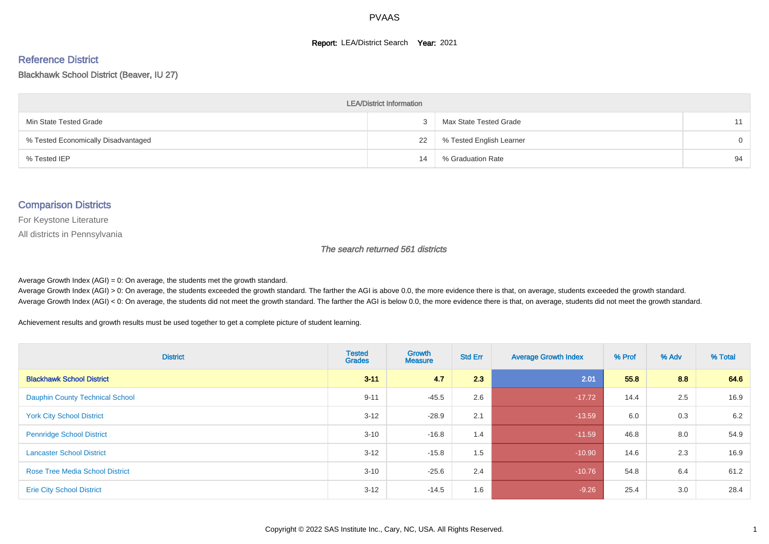#### **Report: LEA/District Search Year: 2021**

#### Reference District

#### Blackhawk School District (Beaver, IU 27)

| <b>LEA/District Information</b>     |    |                          |          |  |  |  |  |  |  |  |
|-------------------------------------|----|--------------------------|----------|--|--|--|--|--|--|--|
| Min State Tested Grade              | 3  | Max State Tested Grade   |          |  |  |  |  |  |  |  |
| % Tested Economically Disadvantaged | 22 | % Tested English Learner | $\Omega$ |  |  |  |  |  |  |  |
| % Tested IEP                        | 14 | % Graduation Rate        | 94       |  |  |  |  |  |  |  |

#### Comparison Districts

For Keystone Literature

All districts in Pennsylvania

The search returned 561 districts

Average Growth Index  $(AGI) = 0$ : On average, the students met the growth standard.

Average Growth Index (AGI) > 0: On average, the students exceeded the growth standard. The farther the AGI is above 0.0, the more evidence there is that, on average, students exceeded the growth standard. Average Growth Index (AGI) < 0: On average, the students did not meet the growth standard. The farther the AGI is below 0.0, the more evidence there is that, on average, students did not meet the growth standard.

Achievement results and growth results must be used together to get a complete picture of student learning.

| <b>District</b>                        | <b>Tested</b><br><b>Grades</b> | Growth<br><b>Measure</b> | <b>Std Err</b> | <b>Average Growth Index</b> | % Prof | % Adv | % Total |
|----------------------------------------|--------------------------------|--------------------------|----------------|-----------------------------|--------|-------|---------|
| <b>Blackhawk School District</b>       | $3 - 11$                       | 4.7                      | 2.3            | 2.01                        | 55.8   | 8.8   | 64.6    |
| <b>Dauphin County Technical School</b> | $9 - 11$                       | $-45.5$                  | 2.6            | $-17.72$                    | 14.4   | 2.5   | 16.9    |
| <b>York City School District</b>       | $3 - 12$                       | $-28.9$                  | 2.1            | $-13.59$                    | 6.0    | 0.3   | 6.2     |
| <b>Pennridge School District</b>       | $3 - 10$                       | $-16.8$                  | 1.4            | $-11.59$                    | 46.8   | 8.0   | 54.9    |
| <b>Lancaster School District</b>       | $3 - 12$                       | $-15.8$                  | 1.5            | $-10.90$                    | 14.6   | 2.3   | 16.9    |
| <b>Rose Tree Media School District</b> | $3 - 10$                       | $-25.6$                  | 2.4            | $-10.76$                    | 54.8   | 6.4   | 61.2    |
| <b>Erie City School District</b>       | $3 - 12$                       | $-14.5$                  | 1.6            | $-9.26$                     | 25.4   | 3.0   | 28.4    |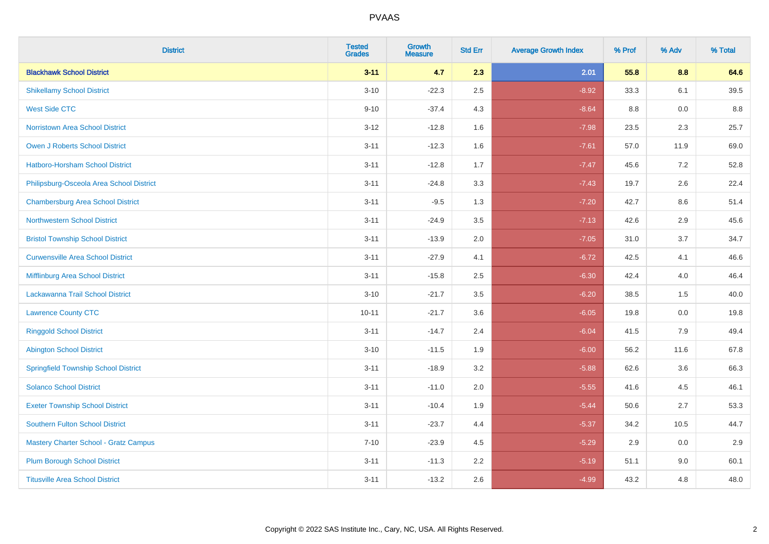| <b>District</b>                              | <b>Tested</b><br><b>Grades</b> | <b>Growth</b><br><b>Measure</b> | <b>Std Err</b> | <b>Average Growth Index</b> | % Prof | % Adv | % Total |
|----------------------------------------------|--------------------------------|---------------------------------|----------------|-----------------------------|--------|-------|---------|
| <b>Blackhawk School District</b>             | $3 - 11$                       | 4.7                             | 2.3            | 2.01                        | 55.8   | 8.8   | 64.6    |
| <b>Shikellamy School District</b>            | $3 - 10$                       | $-22.3$                         | 2.5            | $-8.92$                     | 33.3   | 6.1   | 39.5    |
| <b>West Side CTC</b>                         | $9 - 10$                       | $-37.4$                         | 4.3            | $-8.64$                     | 8.8    | 0.0   | 8.8     |
| <b>Norristown Area School District</b>       | $3 - 12$                       | $-12.8$                         | 1.6            | $-7.98$                     | 23.5   | 2.3   | 25.7    |
| Owen J Roberts School District               | $3 - 11$                       | $-12.3$                         | 1.6            | $-7.61$                     | 57.0   | 11.9  | 69.0    |
| <b>Hatboro-Horsham School District</b>       | $3 - 11$                       | $-12.8$                         | 1.7            | $-7.47$                     | 45.6   | 7.2   | 52.8    |
| Philipsburg-Osceola Area School District     | $3 - 11$                       | $-24.8$                         | 3.3            | $-7.43$                     | 19.7   | 2.6   | 22.4    |
| <b>Chambersburg Area School District</b>     | $3 - 11$                       | $-9.5$                          | 1.3            | $-7.20$                     | 42.7   | 8.6   | 51.4    |
| <b>Northwestern School District</b>          | $3 - 11$                       | $-24.9$                         | 3.5            | $-7.13$                     | 42.6   | 2.9   | 45.6    |
| <b>Bristol Township School District</b>      | $3 - 11$                       | $-13.9$                         | 2.0            | $-7.05$                     | 31.0   | 3.7   | 34.7    |
| <b>Curwensville Area School District</b>     | $3 - 11$                       | $-27.9$                         | 4.1            | $-6.72$                     | 42.5   | 4.1   | 46.6    |
| Mifflinburg Area School District             | $3 - 11$                       | $-15.8$                         | 2.5            | $-6.30$                     | 42.4   | 4.0   | 46.4    |
| Lackawanna Trail School District             | $3 - 10$                       | $-21.7$                         | 3.5            | $-6.20$                     | 38.5   | 1.5   | 40.0    |
| <b>Lawrence County CTC</b>                   | $10 - 11$                      | $-21.7$                         | 3.6            | $-6.05$                     | 19.8   | 0.0   | 19.8    |
| <b>Ringgold School District</b>              | $3 - 11$                       | $-14.7$                         | 2.4            | $-6.04$                     | 41.5   | 7.9   | 49.4    |
| <b>Abington School District</b>              | $3 - 10$                       | $-11.5$                         | 1.9            | $-6.00$                     | 56.2   | 11.6  | 67.8    |
| <b>Springfield Township School District</b>  | $3 - 11$                       | $-18.9$                         | 3.2            | $-5.88$                     | 62.6   | 3.6   | 66.3    |
| <b>Solanco School District</b>               | $3 - 11$                       | $-11.0$                         | 2.0            | $-5.55$                     | 41.6   | 4.5   | 46.1    |
| <b>Exeter Township School District</b>       | $3 - 11$                       | $-10.4$                         | 1.9            | $-5.44$                     | 50.6   | 2.7   | 53.3    |
| <b>Southern Fulton School District</b>       | $3 - 11$                       | $-23.7$                         | 4.4            | $-5.37$                     | 34.2   | 10.5  | 44.7    |
| <b>Mastery Charter School - Gratz Campus</b> | $7 - 10$                       | $-23.9$                         | 4.5            | $-5.29$                     | 2.9    | 0.0   | 2.9     |
| <b>Plum Borough School District</b>          | $3 - 11$                       | $-11.3$                         | 2.2            | $-5.19$                     | 51.1   | 9.0   | 60.1    |
| <b>Titusville Area School District</b>       | $3 - 11$                       | $-13.2$                         | 2.6            | $-4.99$                     | 43.2   | 4.8   | 48.0    |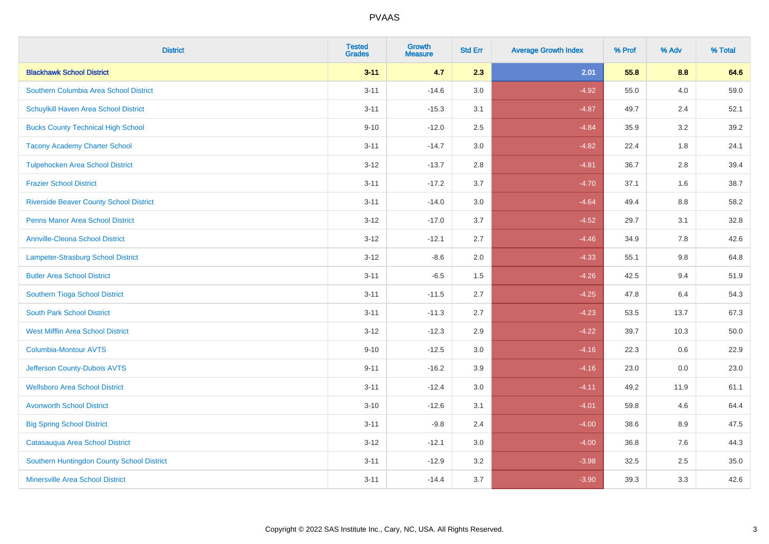| <b>District</b>                                | <b>Tested</b><br><b>Grades</b> | <b>Growth</b><br><b>Measure</b> | <b>Std Err</b> | <b>Average Growth Index</b> | % Prof | % Adv | % Total |
|------------------------------------------------|--------------------------------|---------------------------------|----------------|-----------------------------|--------|-------|---------|
| <b>Blackhawk School District</b>               | $3 - 11$                       | 4.7                             | 2.3            | 2.01                        | 55.8   | 8.8   | 64.6    |
| Southern Columbia Area School District         | $3 - 11$                       | $-14.6$                         | 3.0            | $-4.92$                     | 55.0   | 4.0   | 59.0    |
| Schuylkill Haven Area School District          | $3 - 11$                       | $-15.3$                         | 3.1            | $-4.87$                     | 49.7   | 2.4   | 52.1    |
| <b>Bucks County Technical High School</b>      | $9 - 10$                       | $-12.0$                         | 2.5            | $-4.84$                     | 35.9   | 3.2   | 39.2    |
| <b>Tacony Academy Charter School</b>           | $3 - 11$                       | $-14.7$                         | 3.0            | $-4.82$                     | 22.4   | 1.8   | 24.1    |
| <b>Tulpehocken Area School District</b>        | $3 - 12$                       | $-13.7$                         | 2.8            | $-4.81$                     | 36.7   | 2.8   | 39.4    |
| <b>Frazier School District</b>                 | $3 - 11$                       | $-17.2$                         | 3.7            | $-4.70$                     | 37.1   | 1.6   | 38.7    |
| <b>Riverside Beaver County School District</b> | $3 - 11$                       | $-14.0$                         | 3.0            | $-4.64$                     | 49.4   | 8.8   | 58.2    |
| <b>Penns Manor Area School District</b>        | $3 - 12$                       | $-17.0$                         | 3.7            | $-4.52$                     | 29.7   | 3.1   | 32.8    |
| <b>Annville-Cleona School District</b>         | $3 - 12$                       | $-12.1$                         | 2.7            | $-4.46$                     | 34.9   | 7.8   | 42.6    |
| Lampeter-Strasburg School District             | $3 - 12$                       | $-8.6$                          | 2.0            | $-4.33$                     | 55.1   | 9.8   | 64.8    |
| <b>Butler Area School District</b>             | $3 - 11$                       | $-6.5$                          | 1.5            | $-4.26$                     | 42.5   | 9.4   | 51.9    |
| Southern Tioga School District                 | $3 - 11$                       | $-11.5$                         | 2.7            | $-4.25$                     | 47.8   | 6.4   | 54.3    |
| <b>South Park School District</b>              | $3 - 11$                       | $-11.3$                         | 2.7            | $-4.23$                     | 53.5   | 13.7  | 67.3    |
| <b>West Mifflin Area School District</b>       | $3 - 12$                       | $-12.3$                         | 2.9            | $-4.22$                     | 39.7   | 10.3  | 50.0    |
| <b>Columbia-Montour AVTS</b>                   | $9 - 10$                       | $-12.5$                         | 3.0            | $-4.16$                     | 22.3   | 0.6   | 22.9    |
| Jefferson County-Dubois AVTS                   | $9 - 11$                       | $-16.2$                         | 3.9            | $-4.16$                     | 23.0   | 0.0   | 23.0    |
| <b>Wellsboro Area School District</b>          | $3 - 11$                       | $-12.4$                         | 3.0            | $-4.11$                     | 49.2   | 11.9  | 61.1    |
| <b>Avonworth School District</b>               | $3 - 10$                       | $-12.6$                         | 3.1            | $-4.01$                     | 59.8   | 4.6   | 64.4    |
| <b>Big Spring School District</b>              | $3 - 11$                       | $-9.8$                          | 2.4            | $-4.00$                     | 38.6   | 8.9   | 47.5    |
| Catasauqua Area School District                | $3 - 12$                       | $-12.1$                         | 3.0            | $-4.00$                     | 36.8   | 7.6   | 44.3    |
| Southern Huntingdon County School District     | $3 - 11$                       | $-12.9$                         | 3.2            | $-3.98$                     | 32.5   | 2.5   | 35.0    |
| <b>Minersville Area School District</b>        | $3 - 11$                       | $-14.4$                         | 3.7            | $-3.90$                     | 39.3   | 3.3   | 42.6    |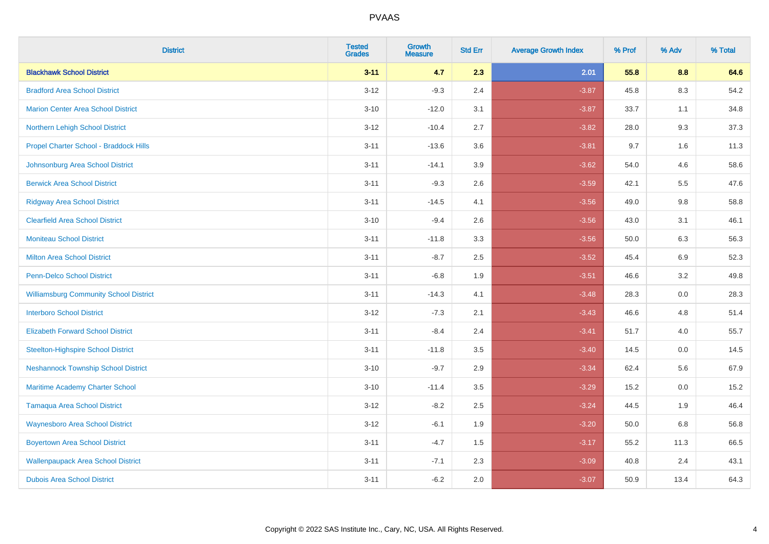| <b>District</b>                               | <b>Tested</b><br><b>Grades</b> | <b>Growth</b><br><b>Measure</b> | <b>Std Err</b> | <b>Average Growth Index</b> | % Prof | % Adv   | % Total |
|-----------------------------------------------|--------------------------------|---------------------------------|----------------|-----------------------------|--------|---------|---------|
| <b>Blackhawk School District</b>              | $3 - 11$                       | 4.7                             | 2.3            | 2.01                        | 55.8   | 8.8     | 64.6    |
| <b>Bradford Area School District</b>          | $3 - 12$                       | $-9.3$                          | 2.4            | $-3.87$                     | 45.8   | $8.3\,$ | 54.2    |
| <b>Marion Center Area School District</b>     | $3 - 10$                       | $-12.0$                         | 3.1            | $-3.87$                     | 33.7   | 1.1     | 34.8    |
| Northern Lehigh School District               | $3 - 12$                       | $-10.4$                         | 2.7            | $-3.82$                     | 28.0   | 9.3     | 37.3    |
| Propel Charter School - Braddock Hills        | $3 - 11$                       | $-13.6$                         | 3.6            | $-3.81$                     | 9.7    | 1.6     | 11.3    |
| Johnsonburg Area School District              | $3 - 11$                       | $-14.1$                         | 3.9            | $-3.62$                     | 54.0   | 4.6     | 58.6    |
| <b>Berwick Area School District</b>           | $3 - 11$                       | $-9.3$                          | 2.6            | $-3.59$                     | 42.1   | 5.5     | 47.6    |
| <b>Ridgway Area School District</b>           | $3 - 11$                       | $-14.5$                         | 4.1            | $-3.56$                     | 49.0   | 9.8     | 58.8    |
| <b>Clearfield Area School District</b>        | $3 - 10$                       | $-9.4$                          | 2.6            | $-3.56$                     | 43.0   | 3.1     | 46.1    |
| <b>Moniteau School District</b>               | $3 - 11$                       | $-11.8$                         | 3.3            | $-3.56$                     | 50.0   | 6.3     | 56.3    |
| <b>Milton Area School District</b>            | $3 - 11$                       | $-8.7$                          | 2.5            | $-3.52$                     | 45.4   | 6.9     | 52.3    |
| <b>Penn-Delco School District</b>             | $3 - 11$                       | $-6.8$                          | 1.9            | $-3.51$                     | 46.6   | 3.2     | 49.8    |
| <b>Williamsburg Community School District</b> | $3 - 11$                       | $-14.3$                         | 4.1            | $-3.48$                     | 28.3   | $0.0\,$ | 28.3    |
| <b>Interboro School District</b>              | $3 - 12$                       | $-7.3$                          | 2.1            | $-3.43$                     | 46.6   | 4.8     | 51.4    |
| <b>Elizabeth Forward School District</b>      | $3 - 11$                       | $-8.4$                          | 2.4            | $-3.41$                     | 51.7   | 4.0     | 55.7    |
| <b>Steelton-Highspire School District</b>     | $3 - 11$                       | $-11.8$                         | 3.5            | $-3.40$                     | 14.5   | $0.0\,$ | 14.5    |
| <b>Neshannock Township School District</b>    | $3 - 10$                       | $-9.7$                          | 2.9            | $-3.34$                     | 62.4   | 5.6     | 67.9    |
| Maritime Academy Charter School               | $3 - 10$                       | $-11.4$                         | 3.5            | $-3.29$                     | 15.2   | 0.0     | 15.2    |
| <b>Tamaqua Area School District</b>           | $3 - 12$                       | $-8.2$                          | 2.5            | $-3.24$                     | 44.5   | 1.9     | 46.4    |
| <b>Waynesboro Area School District</b>        | $3 - 12$                       | $-6.1$                          | 1.9            | $-3.20$                     | 50.0   | 6.8     | 56.8    |
| <b>Boyertown Area School District</b>         | $3 - 11$                       | $-4.7$                          | 1.5            | $-3.17$                     | 55.2   | 11.3    | 66.5    |
| <b>Wallenpaupack Area School District</b>     | $3 - 11$                       | $-7.1$                          | 2.3            | $-3.09$                     | 40.8   | 2.4     | 43.1    |
| <b>Dubois Area School District</b>            | $3 - 11$                       | $-6.2$                          | 2.0            | $-3.07$                     | 50.9   | 13.4    | 64.3    |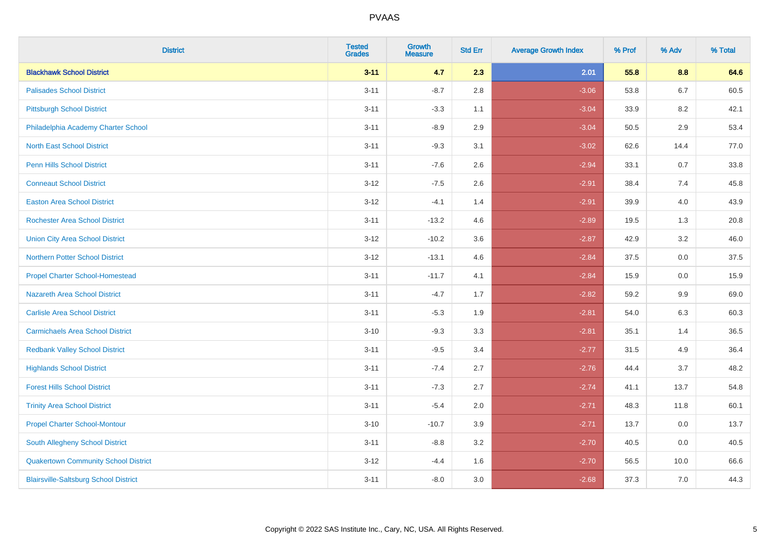| <b>District</b>                              | <b>Tested</b><br><b>Grades</b> | <b>Growth</b><br><b>Measure</b> | <b>Std Err</b> | <b>Average Growth Index</b> | % Prof | % Adv   | % Total |
|----------------------------------------------|--------------------------------|---------------------------------|----------------|-----------------------------|--------|---------|---------|
| <b>Blackhawk School District</b>             | $3 - 11$                       | 4.7                             | 2.3            | 2.01                        | 55.8   | 8.8     | 64.6    |
| <b>Palisades School District</b>             | $3 - 11$                       | $-8.7$                          | 2.8            | $-3.06$                     | 53.8   | $6.7\,$ | 60.5    |
| <b>Pittsburgh School District</b>            | $3 - 11$                       | $-3.3$                          | 1.1            | $-3.04$                     | 33.9   | 8.2     | 42.1    |
| Philadelphia Academy Charter School          | $3 - 11$                       | $-8.9$                          | 2.9            | $-3.04$                     | 50.5   | 2.9     | 53.4    |
| <b>North East School District</b>            | $3 - 11$                       | $-9.3$                          | 3.1            | $-3.02$                     | 62.6   | 14.4    | 77.0    |
| <b>Penn Hills School District</b>            | $3 - 11$                       | $-7.6$                          | 2.6            | $-2.94$                     | 33.1   | 0.7     | 33.8    |
| <b>Conneaut School District</b>              | $3 - 12$                       | $-7.5$                          | 2.6            | $-2.91$                     | 38.4   | 7.4     | 45.8    |
| <b>Easton Area School District</b>           | $3 - 12$                       | $-4.1$                          | 1.4            | $-2.91$                     | 39.9   | 4.0     | 43.9    |
| <b>Rochester Area School District</b>        | $3 - 11$                       | $-13.2$                         | 4.6            | $-2.89$                     | 19.5   | 1.3     | 20.8    |
| <b>Union City Area School District</b>       | $3 - 12$                       | $-10.2$                         | 3.6            | $-2.87$                     | 42.9   | 3.2     | 46.0    |
| <b>Northern Potter School District</b>       | $3 - 12$                       | $-13.1$                         | 4.6            | $-2.84$                     | 37.5   | 0.0     | 37.5    |
| <b>Propel Charter School-Homestead</b>       | $3 - 11$                       | $-11.7$                         | 4.1            | $-2.84$                     | 15.9   | 0.0     | 15.9    |
| Nazareth Area School District                | $3 - 11$                       | $-4.7$                          | 1.7            | $-2.82$                     | 59.2   | $9.9\,$ | 69.0    |
| <b>Carlisle Area School District</b>         | $3 - 11$                       | $-5.3$                          | 1.9            | $-2.81$                     | 54.0   | 6.3     | 60.3    |
| <b>Carmichaels Area School District</b>      | $3 - 10$                       | $-9.3$                          | 3.3            | $-2.81$                     | 35.1   | 1.4     | 36.5    |
| <b>Redbank Valley School District</b>        | $3 - 11$                       | $-9.5$                          | 3.4            | $-2.77$                     | 31.5   | 4.9     | 36.4    |
| <b>Highlands School District</b>             | $3 - 11$                       | $-7.4$                          | 2.7            | $-2.76$                     | 44.4   | 3.7     | 48.2    |
| <b>Forest Hills School District</b>          | $3 - 11$                       | $-7.3$                          | 2.7            | $-2.74$                     | 41.1   | 13.7    | 54.8    |
| <b>Trinity Area School District</b>          | $3 - 11$                       | $-5.4$                          | 2.0            | $-2.71$                     | 48.3   | 11.8    | 60.1    |
| <b>Propel Charter School-Montour</b>         | $3 - 10$                       | $-10.7$                         | 3.9            | $-2.71$                     | 13.7   | 0.0     | 13.7    |
| South Allegheny School District              | $3 - 11$                       | $-8.8$                          | 3.2            | $-2.70$                     | 40.5   | 0.0     | 40.5    |
| <b>Quakertown Community School District</b>  | $3 - 12$                       | $-4.4$                          | 1.6            | $-2.70$                     | 56.5   | 10.0    | 66.6    |
| <b>Blairsville-Saltsburg School District</b> | $3 - 11$                       | $-8.0$                          | 3.0            | $-2.68$                     | 37.3   | 7.0     | 44.3    |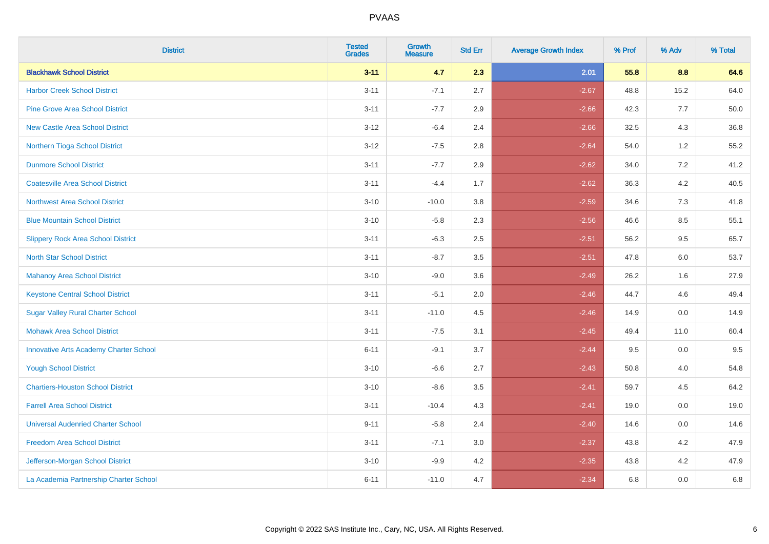| <b>District</b>                               | <b>Tested</b><br><b>Grades</b> | <b>Growth</b><br><b>Measure</b> | <b>Std Err</b> | <b>Average Growth Index</b> | % Prof | % Adv   | % Total |
|-----------------------------------------------|--------------------------------|---------------------------------|----------------|-----------------------------|--------|---------|---------|
| <b>Blackhawk School District</b>              | $3 - 11$                       | 4.7                             | 2.3            | 2.01                        | 55.8   | 8.8     | 64.6    |
| <b>Harbor Creek School District</b>           | $3 - 11$                       | $-7.1$                          | 2.7            | $-2.67$                     | 48.8   | 15.2    | 64.0    |
| <b>Pine Grove Area School District</b>        | $3 - 11$                       | $-7.7$                          | 2.9            | $-2.66$                     | 42.3   | 7.7     | 50.0    |
| <b>New Castle Area School District</b>        | $3-12$                         | $-6.4$                          | 2.4            | $-2.66$                     | 32.5   | $4.3$   | 36.8    |
| Northern Tioga School District                | $3 - 12$                       | $-7.5$                          | 2.8            | $-2.64$                     | 54.0   | 1.2     | 55.2    |
| <b>Dunmore School District</b>                | $3 - 11$                       | $-7.7$                          | 2.9            | $-2.62$                     | 34.0   | 7.2     | 41.2    |
| <b>Coatesville Area School District</b>       | $3 - 11$                       | $-4.4$                          | 1.7            | $-2.62$                     | 36.3   | $4.2\,$ | 40.5    |
| <b>Northwest Area School District</b>         | $3 - 10$                       | $-10.0$                         | 3.8            | $-2.59$                     | 34.6   | 7.3     | 41.8    |
| <b>Blue Mountain School District</b>          | $3 - 10$                       | $-5.8$                          | 2.3            | $-2.56$                     | 46.6   | 8.5     | 55.1    |
| <b>Slippery Rock Area School District</b>     | $3 - 11$                       | $-6.3$                          | 2.5            | $-2.51$                     | 56.2   | $9.5\,$ | 65.7    |
| <b>North Star School District</b>             | $3 - 11$                       | $-8.7$                          | 3.5            | $-2.51$                     | 47.8   | 6.0     | 53.7    |
| Mahanoy Area School District                  | $3 - 10$                       | $-9.0$                          | 3.6            | $-2.49$                     | 26.2   | 1.6     | 27.9    |
| <b>Keystone Central School District</b>       | $3 - 11$                       | $-5.1$                          | 2.0            | $-2.46$                     | 44.7   | 4.6     | 49.4    |
| <b>Sugar Valley Rural Charter School</b>      | $3 - 11$                       | $-11.0$                         | 4.5            | $-2.46$                     | 14.9   | $0.0\,$ | 14.9    |
| <b>Mohawk Area School District</b>            | $3 - 11$                       | $-7.5$                          | 3.1            | $-2.45$                     | 49.4   | 11.0    | 60.4    |
| <b>Innovative Arts Academy Charter School</b> | $6 - 11$                       | $-9.1$                          | 3.7            | $-2.44$                     | 9.5    | 0.0     | 9.5     |
| <b>Yough School District</b>                  | $3 - 10$                       | $-6.6$                          | 2.7            | $-2.43$                     | 50.8   | 4.0     | 54.8    |
| <b>Chartiers-Houston School District</b>      | $3 - 10$                       | $-8.6$                          | 3.5            | $-2.41$                     | 59.7   | 4.5     | 64.2    |
| <b>Farrell Area School District</b>           | $3 - 11$                       | $-10.4$                         | 4.3            | $-2.41$                     | 19.0   | 0.0     | 19.0    |
| <b>Universal Audenried Charter School</b>     | $9 - 11$                       | $-5.8$                          | 2.4            | $-2.40$                     | 14.6   | 0.0     | 14.6    |
| <b>Freedom Area School District</b>           | $3 - 11$                       | $-7.1$                          | 3.0            | $-2.37$                     | 43.8   | 4.2     | 47.9    |
| Jefferson-Morgan School District              | $3 - 10$                       | $-9.9$                          | 4.2            | $-2.35$                     | 43.8   | 4.2     | 47.9    |
| La Academia Partnership Charter School        | $6 - 11$                       | $-11.0$                         | 4.7            | $-2.34$                     | 6.8    | 0.0     | 6.8     |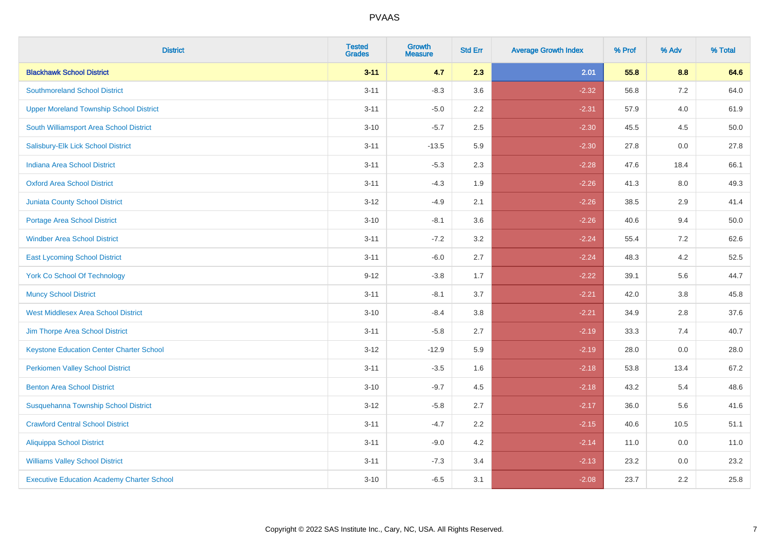| <b>District</b>                                   | <b>Tested</b><br><b>Grades</b> | <b>Growth</b><br><b>Measure</b> | <b>Std Err</b> | <b>Average Growth Index</b> | % Prof | % Adv   | % Total |
|---------------------------------------------------|--------------------------------|---------------------------------|----------------|-----------------------------|--------|---------|---------|
| <b>Blackhawk School District</b>                  | $3 - 11$                       | 4.7                             | 2.3            | 2.01                        | 55.8   | 8.8     | 64.6    |
| <b>Southmoreland School District</b>              | $3 - 11$                       | $-8.3$                          | 3.6            | $-2.32$                     | 56.8   | 7.2     | 64.0    |
| <b>Upper Moreland Township School District</b>    | $3 - 11$                       | $-5.0$                          | 2.2            | $-2.31$                     | 57.9   | 4.0     | 61.9    |
| South Williamsport Area School District           | $3 - 10$                       | $-5.7$                          | 2.5            | $-2.30$                     | 45.5   | 4.5     | 50.0    |
| Salisbury-Elk Lick School District                | $3 - 11$                       | $-13.5$                         | 5.9            | $-2.30$                     | 27.8   | 0.0     | 27.8    |
| <b>Indiana Area School District</b>               | $3 - 11$                       | $-5.3$                          | 2.3            | $-2.28$                     | 47.6   | 18.4    | 66.1    |
| <b>Oxford Area School District</b>                | $3 - 11$                       | $-4.3$                          | 1.9            | $-2.26$                     | 41.3   | $8.0\,$ | 49.3    |
| <b>Juniata County School District</b>             | $3 - 12$                       | $-4.9$                          | 2.1            | $-2.26$                     | 38.5   | 2.9     | 41.4    |
| Portage Area School District                      | $3 - 10$                       | $-8.1$                          | 3.6            | $-2.26$                     | 40.6   | 9.4     | 50.0    |
| <b>Windber Area School District</b>               | $3 - 11$                       | $-7.2$                          | 3.2            | $-2.24$                     | 55.4   | 7.2     | 62.6    |
| <b>East Lycoming School District</b>              | $3 - 11$                       | $-6.0$                          | 2.7            | $-2.24$                     | 48.3   | 4.2     | 52.5    |
| <b>York Co School Of Technology</b>               | $9 - 12$                       | $-3.8$                          | 1.7            | $-2.22$                     | 39.1   | 5.6     | 44.7    |
| <b>Muncy School District</b>                      | $3 - 11$                       | $-8.1$                          | 3.7            | $-2.21$                     | 42.0   | 3.8     | 45.8    |
| <b>West Middlesex Area School District</b>        | $3 - 10$                       | $-8.4$                          | 3.8            | $-2.21$                     | 34.9   | 2.8     | 37.6    |
| Jim Thorpe Area School District                   | $3 - 11$                       | $-5.8$                          | 2.7            | $-2.19$                     | 33.3   | 7.4     | 40.7    |
| <b>Keystone Education Center Charter School</b>   | $3 - 12$                       | $-12.9$                         | 5.9            | $-2.19$                     | 28.0   | 0.0     | 28.0    |
| <b>Perkiomen Valley School District</b>           | $3 - 11$                       | $-3.5$                          | 1.6            | $-2.18$                     | 53.8   | 13.4    | 67.2    |
| <b>Benton Area School District</b>                | $3 - 10$                       | $-9.7$                          | 4.5            | $-2.18$                     | 43.2   | 5.4     | 48.6    |
| Susquehanna Township School District              | $3 - 12$                       | $-5.8$                          | 2.7            | $-2.17$                     | 36.0   | 5.6     | 41.6    |
| <b>Crawford Central School District</b>           | $3 - 11$                       | $-4.7$                          | 2.2            | $-2.15$                     | 40.6   | 10.5    | 51.1    |
| <b>Aliquippa School District</b>                  | $3 - 11$                       | $-9.0$                          | 4.2            | $-2.14$                     | 11.0   | 0.0     | 11.0    |
| <b>Williams Valley School District</b>            | $3 - 11$                       | $-7.3$                          | 3.4            | $-2.13$                     | 23.2   | 0.0     | 23.2    |
| <b>Executive Education Academy Charter School</b> | $3 - 10$                       | $-6.5$                          | 3.1            | $-2.08$                     | 23.7   | 2.2     | 25.8    |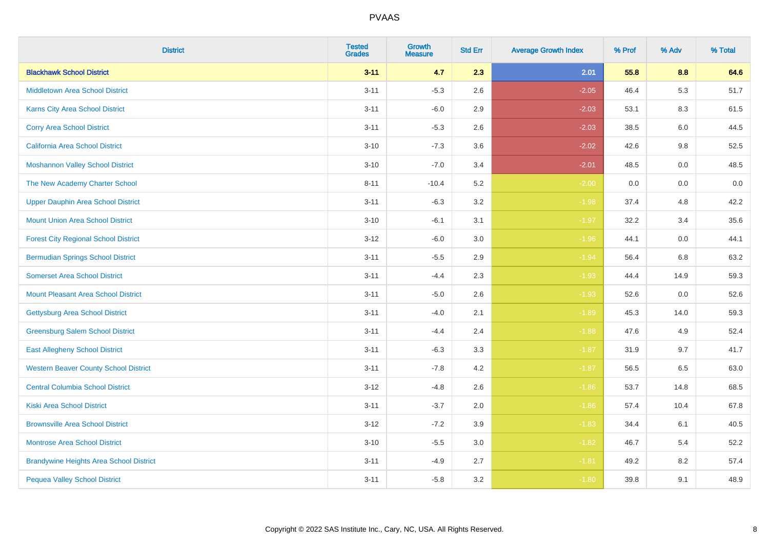| <b>District</b>                                | <b>Tested</b><br><b>Grades</b> | <b>Growth</b><br><b>Measure</b> | <b>Std Err</b> | <b>Average Growth Index</b> | % Prof | % Adv | % Total |
|------------------------------------------------|--------------------------------|---------------------------------|----------------|-----------------------------|--------|-------|---------|
| <b>Blackhawk School District</b>               | $3 - 11$                       | 4.7                             | 2.3            | 2.01                        | 55.8   | 8.8   | 64.6    |
| <b>Middletown Area School District</b>         | $3 - 11$                       | $-5.3$                          | 2.6            | $-2.05$                     | 46.4   | 5.3   | 51.7    |
| <b>Karns City Area School District</b>         | $3 - 11$                       | $-6.0$                          | 2.9            | $-2.03$                     | 53.1   | 8.3   | 61.5    |
| <b>Corry Area School District</b>              | $3 - 11$                       | $-5.3$                          | 2.6            | $-2.03$                     | 38.5   | 6.0   | 44.5    |
| <b>California Area School District</b>         | $3 - 10$                       | $-7.3$                          | 3.6            | $-2.02$                     | 42.6   | 9.8   | 52.5    |
| <b>Moshannon Valley School District</b>        | $3 - 10$                       | $-7.0$                          | 3.4            | $-2.01$                     | 48.5   | 0.0   | 48.5    |
| The New Academy Charter School                 | $8 - 11$                       | $-10.4$                         | 5.2            | $-2.00$                     | 0.0    | 0.0   | 0.0     |
| <b>Upper Dauphin Area School District</b>      | $3 - 11$                       | $-6.3$                          | 3.2            | $-1.98$                     | 37.4   | 4.8   | 42.2    |
| <b>Mount Union Area School District</b>        | $3 - 10$                       | $-6.1$                          | 3.1            | $-1.97$                     | 32.2   | 3.4   | 35.6    |
| <b>Forest City Regional School District</b>    | $3 - 12$                       | $-6.0$                          | 3.0            | $-1.96$                     | 44.1   | 0.0   | 44.1    |
| <b>Bermudian Springs School District</b>       | $3 - 11$                       | $-5.5$                          | 2.9            | $-1.94$                     | 56.4   | 6.8   | 63.2    |
| <b>Somerset Area School District</b>           | $3 - 11$                       | $-4.4$                          | 2.3            | $-1.93$                     | 44.4   | 14.9  | 59.3    |
| <b>Mount Pleasant Area School District</b>     | $3 - 11$                       | $-5.0$                          | 2.6            | $-1.93$                     | 52.6   | 0.0   | 52.6    |
| <b>Gettysburg Area School District</b>         | $3 - 11$                       | $-4.0$                          | 2.1            | $-1.89$                     | 45.3   | 14.0  | 59.3    |
| <b>Greensburg Salem School District</b>        | $3 - 11$                       | $-4.4$                          | 2.4            | $-1.88$                     | 47.6   | 4.9   | 52.4    |
| <b>East Allegheny School District</b>          | $3 - 11$                       | $-6.3$                          | 3.3            | $-1.87$                     | 31.9   | 9.7   | 41.7    |
| <b>Western Beaver County School District</b>   | $3 - 11$                       | $-7.8$                          | 4.2            | $-1.87$                     | 56.5   | 6.5   | 63.0    |
| <b>Central Columbia School District</b>        | $3 - 12$                       | $-4.8$                          | 2.6            | $-1.86$                     | 53.7   | 14.8  | 68.5    |
| <b>Kiski Area School District</b>              | $3 - 11$                       | $-3.7$                          | 2.0            | $-1.86$                     | 57.4   | 10.4  | 67.8    |
| <b>Brownsville Area School District</b>        | $3 - 12$                       | $-7.2$                          | 3.9            | $-1.83$                     | 34.4   | 6.1   | 40.5    |
| <b>Montrose Area School District</b>           | $3 - 10$                       | $-5.5$                          | 3.0            | $-1.82$                     | 46.7   | 5.4   | 52.2    |
| <b>Brandywine Heights Area School District</b> | $3 - 11$                       | $-4.9$                          | 2.7            | $-1.81$                     | 49.2   | 8.2   | 57.4    |
| <b>Pequea Valley School District</b>           | $3 - 11$                       | $-5.8$                          | 3.2            | $-1.80$                     | 39.8   | 9.1   | 48.9    |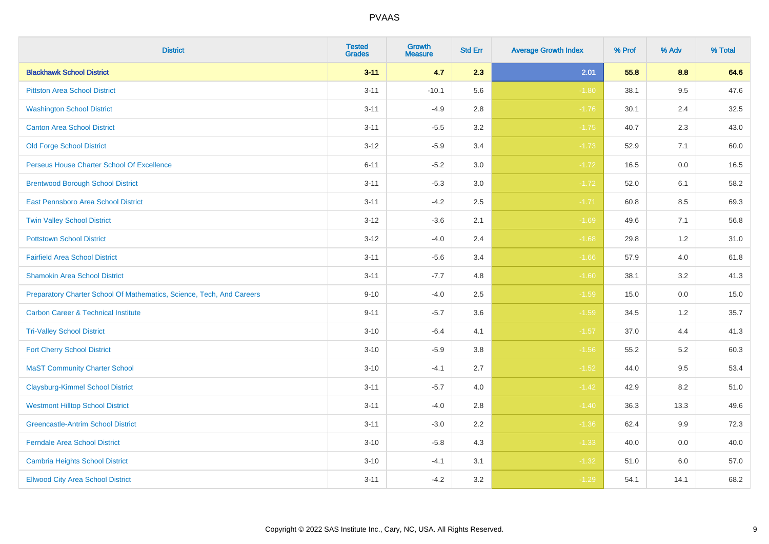| <b>District</b>                                                       | <b>Tested</b><br><b>Grades</b> | <b>Growth</b><br><b>Measure</b> | <b>Std Err</b> | <b>Average Growth Index</b> | % Prof | % Adv | % Total |
|-----------------------------------------------------------------------|--------------------------------|---------------------------------|----------------|-----------------------------|--------|-------|---------|
| <b>Blackhawk School District</b>                                      | $3 - 11$                       | 4.7                             | 2.3            | 2.01                        | 55.8   | 8.8   | 64.6    |
| <b>Pittston Area School District</b>                                  | $3 - 11$                       | $-10.1$                         | 5.6            | $-1.80$                     | 38.1   | 9.5   | 47.6    |
| <b>Washington School District</b>                                     | $3 - 11$                       | $-4.9$                          | 2.8            | $-1.76$                     | 30.1   | 2.4   | 32.5    |
| <b>Canton Area School District</b>                                    | $3 - 11$                       | $-5.5$                          | $3.2\,$        | $-1.75$                     | 40.7   | 2.3   | 43.0    |
| <b>Old Forge School District</b>                                      | $3 - 12$                       | $-5.9$                          | 3.4            | $-1.73$                     | 52.9   | 7.1   | 60.0    |
| Perseus House Charter School Of Excellence                            | $6 - 11$                       | $-5.2$                          | 3.0            | $-1.72$                     | 16.5   | 0.0   | 16.5    |
| <b>Brentwood Borough School District</b>                              | $3 - 11$                       | $-5.3$                          | $3.0\,$        | $-1.72$                     | 52.0   | 6.1   | 58.2    |
| East Pennsboro Area School District                                   | $3 - 11$                       | $-4.2$                          | 2.5            | $-1.71$                     | 60.8   | 8.5   | 69.3    |
| <b>Twin Valley School District</b>                                    | $3 - 12$                       | $-3.6$                          | 2.1            | $-1.69$                     | 49.6   | 7.1   | 56.8    |
| <b>Pottstown School District</b>                                      | $3 - 12$                       | $-4.0$                          | 2.4            | $-1.68$                     | 29.8   | 1.2   | 31.0    |
| <b>Fairfield Area School District</b>                                 | $3 - 11$                       | $-5.6$                          | 3.4            | $-1.66$                     | 57.9   | 4.0   | 61.8    |
| <b>Shamokin Area School District</b>                                  | $3 - 11$                       | $-7.7$                          | 4.8            | $-1.60$                     | 38.1   | 3.2   | 41.3    |
| Preparatory Charter School Of Mathematics, Science, Tech, And Careers | $9 - 10$                       | $-4.0$                          | 2.5            | $-1.59$                     | 15.0   | 0.0   | 15.0    |
| <b>Carbon Career &amp; Technical Institute</b>                        | $9 - 11$                       | $-5.7$                          | 3.6            | $-1.59$                     | 34.5   | 1.2   | 35.7    |
| <b>Tri-Valley School District</b>                                     | $3 - 10$                       | $-6.4$                          | 4.1            | $-1.57$                     | 37.0   | 4.4   | 41.3    |
| <b>Fort Cherry School District</b>                                    | $3 - 10$                       | $-5.9$                          | 3.8            | $-1.56$                     | 55.2   | 5.2   | 60.3    |
| <b>MaST Community Charter School</b>                                  | $3 - 10$                       | $-4.1$                          | 2.7            | $-1.52$                     | 44.0   | 9.5   | 53.4    |
| <b>Claysburg-Kimmel School District</b>                               | $3 - 11$                       | $-5.7$                          | 4.0            | $-1.42$                     | 42.9   | 8.2   | 51.0    |
| <b>Westmont Hilltop School District</b>                               | $3 - 11$                       | $-4.0$                          | 2.8            | $-1.40$                     | 36.3   | 13.3  | 49.6    |
| <b>Greencastle-Antrim School District</b>                             | $3 - 11$                       | $-3.0$                          | 2.2            | $-1.36$                     | 62.4   | 9.9   | 72.3    |
| <b>Ferndale Area School District</b>                                  | $3 - 10$                       | $-5.8$                          | 4.3            | $-1.33$                     | 40.0   | 0.0   | 40.0    |
| <b>Cambria Heights School District</b>                                | $3 - 10$                       | $-4.1$                          | 3.1            | $-1.32$                     | 51.0   | 6.0   | 57.0    |
| <b>Ellwood City Area School District</b>                              | $3 - 11$                       | $-4.2$                          | 3.2            | $-1.29$                     | 54.1   | 14.1  | 68.2    |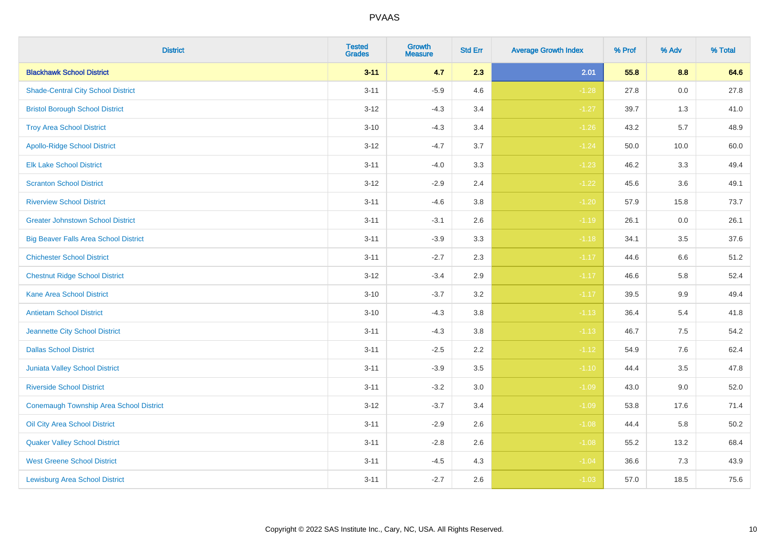| <b>District</b>                              | <b>Tested</b><br><b>Grades</b> | <b>Growth</b><br><b>Measure</b> | <b>Std Err</b> | <b>Average Growth Index</b> | % Prof | % Adv | % Total |
|----------------------------------------------|--------------------------------|---------------------------------|----------------|-----------------------------|--------|-------|---------|
| <b>Blackhawk School District</b>             | $3 - 11$                       | 4.7                             | 2.3            | 2.01                        | 55.8   | 8.8   | 64.6    |
| <b>Shade-Central City School District</b>    | $3 - 11$                       | $-5.9$                          | 4.6            | $-1.28$                     | 27.8   | 0.0   | 27.8    |
| <b>Bristol Borough School District</b>       | $3 - 12$                       | $-4.3$                          | 3.4            | $-1.27$                     | 39.7   | 1.3   | 41.0    |
| <b>Troy Area School District</b>             | $3 - 10$                       | $-4.3$                          | 3.4            | $-1.26$                     | 43.2   | 5.7   | 48.9    |
| <b>Apollo-Ridge School District</b>          | $3 - 12$                       | $-4.7$                          | 3.7            | $-1.24$                     | 50.0   | 10.0  | 60.0    |
| <b>Elk Lake School District</b>              | $3 - 11$                       | $-4.0$                          | 3.3            | $-1.23$                     | 46.2   | 3.3   | 49.4    |
| <b>Scranton School District</b>              | $3 - 12$                       | $-2.9$                          | 2.4            | $-1.22$                     | 45.6   | 3.6   | 49.1    |
| <b>Riverview School District</b>             | $3 - 11$                       | $-4.6$                          | 3.8            | $-1.20$                     | 57.9   | 15.8  | 73.7    |
| <b>Greater Johnstown School District</b>     | $3 - 11$                       | $-3.1$                          | 2.6            | $-1.19$                     | 26.1   | 0.0   | 26.1    |
| <b>Big Beaver Falls Area School District</b> | $3 - 11$                       | $-3.9$                          | 3.3            | $-1.18$                     | 34.1   | 3.5   | 37.6    |
| <b>Chichester School District</b>            | $3 - 11$                       | $-2.7$                          | 2.3            | $-1.17$                     | 44.6   | 6.6   | 51.2    |
| <b>Chestnut Ridge School District</b>        | $3 - 12$                       | $-3.4$                          | 2.9            | $-1.17$                     | 46.6   | 5.8   | 52.4    |
| <b>Kane Area School District</b>             | $3 - 10$                       | $-3.7$                          | 3.2            | $-1.17$                     | 39.5   | 9.9   | 49.4    |
| <b>Antietam School District</b>              | $3 - 10$                       | $-4.3$                          | 3.8            | $-1.13$                     | 36.4   | $5.4$ | 41.8    |
| Jeannette City School District               | $3 - 11$                       | $-4.3$                          | 3.8            | $-1.13$                     | 46.7   | 7.5   | 54.2    |
| <b>Dallas School District</b>                | $3 - 11$                       | $-2.5$                          | 2.2            | $-1.12$                     | 54.9   | 7.6   | 62.4    |
| Juniata Valley School District               | $3 - 11$                       | $-3.9$                          | 3.5            | $-1.10$                     | 44.4   | 3.5   | 47.8    |
| <b>Riverside School District</b>             | $3 - 11$                       | $-3.2$                          | 3.0            | $-1.09$                     | 43.0   | 9.0   | 52.0    |
| Conemaugh Township Area School District      | $3 - 12$                       | $-3.7$                          | 3.4            | $-1.09$                     | 53.8   | 17.6  | 71.4    |
| Oil City Area School District                | $3 - 11$                       | $-2.9$                          | 2.6            | $-1.08$                     | 44.4   | 5.8   | 50.2    |
| <b>Quaker Valley School District</b>         | $3 - 11$                       | $-2.8$                          | 2.6            | $-1.08$                     | 55.2   | 13.2  | 68.4    |
| <b>West Greene School District</b>           | $3 - 11$                       | $-4.5$                          | 4.3            | $-1.04$                     | 36.6   | 7.3   | 43.9    |
| <b>Lewisburg Area School District</b>        | $3 - 11$                       | $-2.7$                          | 2.6            | $-1.03$                     | 57.0   | 18.5  | 75.6    |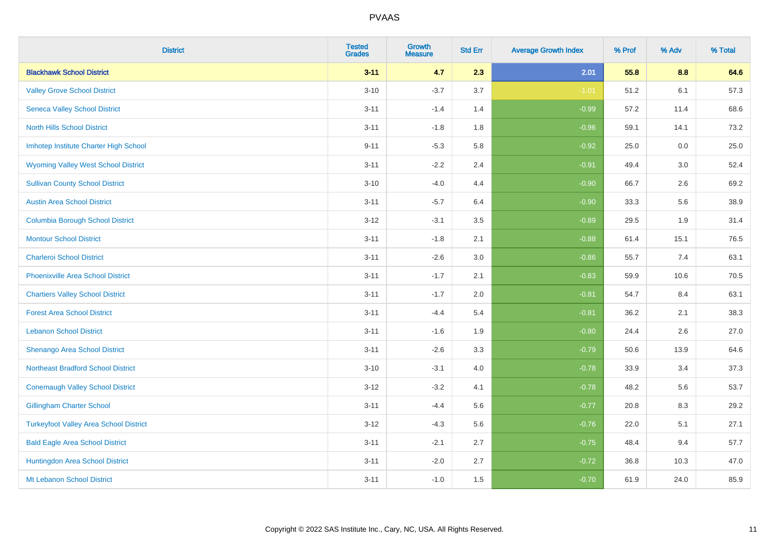| <b>District</b>                               | <b>Tested</b><br><b>Grades</b> | <b>Growth</b><br><b>Measure</b> | <b>Std Err</b> | <b>Average Growth Index</b> | % Prof | % Adv | % Total |
|-----------------------------------------------|--------------------------------|---------------------------------|----------------|-----------------------------|--------|-------|---------|
| <b>Blackhawk School District</b>              | $3 - 11$                       | 4.7                             | 2.3            | 2.01                        | 55.8   | 8.8   | 64.6    |
| <b>Valley Grove School District</b>           | $3 - 10$                       | $-3.7$                          | 3.7            | $-1.01$                     | 51.2   | 6.1   | 57.3    |
| <b>Seneca Valley School District</b>          | $3 - 11$                       | $-1.4$                          | 1.4            | $-0.99$                     | 57.2   | 11.4  | 68.6    |
| <b>North Hills School District</b>            | $3 - 11$                       | $-1.8$                          | 1.8            | $-0.96$                     | 59.1   | 14.1  | 73.2    |
| Imhotep Institute Charter High School         | $9 - 11$                       | $-5.3$                          | 5.8            | $-0.92$                     | 25.0   | 0.0   | 25.0    |
| <b>Wyoming Valley West School District</b>    | $3 - 11$                       | $-2.2$                          | 2.4            | $-0.91$                     | 49.4   | 3.0   | 52.4    |
| <b>Sullivan County School District</b>        | $3 - 10$                       | $-4.0$                          | 4.4            | $-0.90$                     | 66.7   | 2.6   | 69.2    |
| <b>Austin Area School District</b>            | $3 - 11$                       | $-5.7$                          | 6.4            | $-0.90$                     | 33.3   | 5.6   | 38.9    |
| <b>Columbia Borough School District</b>       | $3 - 12$                       | $-3.1$                          | 3.5            | $-0.89$                     | 29.5   | 1.9   | 31.4    |
| <b>Montour School District</b>                | $3 - 11$                       | $-1.8$                          | 2.1            | $-0.88$                     | 61.4   | 15.1  | 76.5    |
| <b>Charleroi School District</b>              | $3 - 11$                       | $-2.6$                          | 3.0            | $-0.86$                     | 55.7   | 7.4   | 63.1    |
| <b>Phoenixville Area School District</b>      | $3 - 11$                       | $-1.7$                          | 2.1            | $-0.83$                     | 59.9   | 10.6  | 70.5    |
| <b>Chartiers Valley School District</b>       | $3 - 11$                       | $-1.7$                          | 2.0            | $-0.81$                     | 54.7   | 8.4   | 63.1    |
| <b>Forest Area School District</b>            | $3 - 11$                       | $-4.4$                          | 5.4            | $-0.81$                     | 36.2   | 2.1   | 38.3    |
| <b>Lebanon School District</b>                | $3 - 11$                       | $-1.6$                          | 1.9            | $-0.80$                     | 24.4   | 2.6   | 27.0    |
| Shenango Area School District                 | $3 - 11$                       | $-2.6$                          | 3.3            | $-0.79$                     | 50.6   | 13.9  | 64.6    |
| <b>Northeast Bradford School District</b>     | $3 - 10$                       | $-3.1$                          | 4.0            | $-0.78$                     | 33.9   | 3.4   | 37.3    |
| <b>Conemaugh Valley School District</b>       | $3 - 12$                       | $-3.2$                          | 4.1            | $-0.78$                     | 48.2   | 5.6   | 53.7    |
| <b>Gillingham Charter School</b>              | $3 - 11$                       | $-4.4$                          | 5.6            | $-0.77$                     | 20.8   | 8.3   | 29.2    |
| <b>Turkeyfoot Valley Area School District</b> | $3 - 12$                       | $-4.3$                          | 5.6            | $-0.76$                     | 22.0   | 5.1   | 27.1    |
| <b>Bald Eagle Area School District</b>        | $3 - 11$                       | $-2.1$                          | 2.7            | $-0.75$                     | 48.4   | 9.4   | 57.7    |
| Huntingdon Area School District               | $3 - 11$                       | $-2.0$                          | 2.7            | $-0.72$                     | 36.8   | 10.3  | 47.0    |
| Mt Lebanon School District                    | $3 - 11$                       | $-1.0$                          | 1.5            | $-0.70$                     | 61.9   | 24.0  | 85.9    |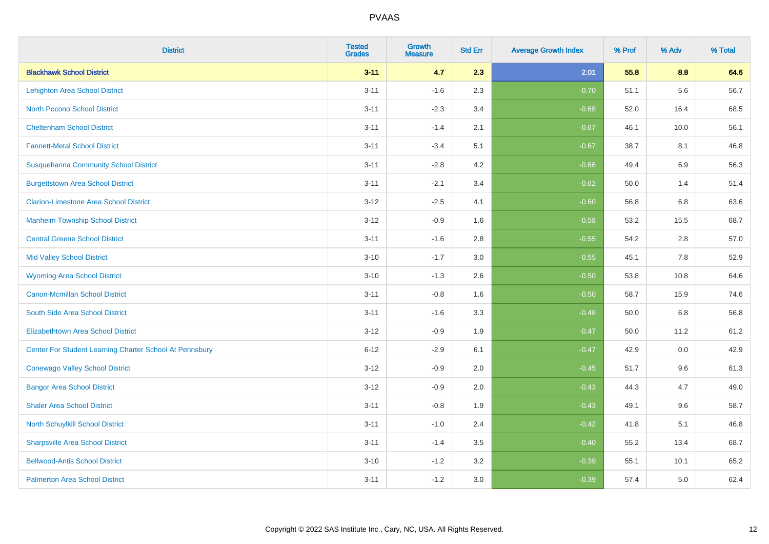| <b>District</b>                                         | <b>Tested</b><br><b>Grades</b> | <b>Growth</b><br><b>Measure</b> | <b>Std Err</b> | <b>Average Growth Index</b> | % Prof | % Adv | % Total |
|---------------------------------------------------------|--------------------------------|---------------------------------|----------------|-----------------------------|--------|-------|---------|
| <b>Blackhawk School District</b>                        | $3 - 11$                       | 4.7                             | 2.3            | 2.01                        | 55.8   | 8.8   | 64.6    |
| <b>Lehighton Area School District</b>                   | $3 - 11$                       | $-1.6$                          | 2.3            | $-0.70$                     | 51.1   | 5.6   | 56.7    |
| <b>North Pocono School District</b>                     | $3 - 11$                       | $-2.3$                          | 3.4            | $-0.68$                     | 52.0   | 16.4  | 68.5    |
| <b>Cheltenham School District</b>                       | $3 - 11$                       | $-1.4$                          | 2.1            | $-0.67$                     | 46.1   | 10.0  | 56.1    |
| <b>Fannett-Metal School District</b>                    | $3 - 11$                       | $-3.4$                          | 5.1            | $-0.67$                     | 38.7   | 8.1   | 46.8    |
| <b>Susquehanna Community School District</b>            | $3 - 11$                       | $-2.8$                          | 4.2            | $-0.66$                     | 49.4   | 6.9   | 56.3    |
| <b>Burgettstown Area School District</b>                | $3 - 11$                       | $-2.1$                          | 3.4            | $-0.62$                     | 50.0   | 1.4   | 51.4    |
| <b>Clarion-Limestone Area School District</b>           | $3 - 12$                       | $-2.5$                          | 4.1            | $-0.60$                     | 56.8   | 6.8   | 63.6    |
| <b>Manheim Township School District</b>                 | $3 - 12$                       | $-0.9$                          | 1.6            | $-0.58$                     | 53.2   | 15.5  | 68.7    |
| <b>Central Greene School District</b>                   | $3 - 11$                       | $-1.6$                          | 2.8            | $-0.55$                     | 54.2   | 2.8   | 57.0    |
| <b>Mid Valley School District</b>                       | $3 - 10$                       | $-1.7$                          | 3.0            | $-0.55$                     | 45.1   | 7.8   | 52.9    |
| <b>Wyoming Area School District</b>                     | $3 - 10$                       | $-1.3$                          | 2.6            | $-0.50$                     | 53.8   | 10.8  | 64.6    |
| <b>Canon-Mcmillan School District</b>                   | $3 - 11$                       | $-0.8$                          | 1.6            | $-0.50$                     | 58.7   | 15.9  | 74.6    |
| South Side Area School District                         | $3 - 11$                       | $-1.6$                          | 3.3            | $-0.48$                     | 50.0   | 6.8   | 56.8    |
| <b>Elizabethtown Area School District</b>               | $3 - 12$                       | $-0.9$                          | 1.9            | $-0.47$                     | 50.0   | 11.2  | 61.2    |
| Center For Student Learning Charter School At Pennsbury | $6 - 12$                       | $-2.9$                          | 6.1            | $-0.47$                     | 42.9   | 0.0   | 42.9    |
| <b>Conewago Valley School District</b>                  | $3 - 12$                       | $-0.9$                          | 2.0            | $-0.45$                     | 51.7   | 9.6   | 61.3    |
| <b>Bangor Area School District</b>                      | $3 - 12$                       | $-0.9$                          | 2.0            | $-0.43$                     | 44.3   | 4.7   | 49.0    |
| <b>Shaler Area School District</b>                      | $3 - 11$                       | $-0.8$                          | 1.9            | $-0.43$                     | 49.1   | 9.6   | 58.7    |
| North Schuylkill School District                        | $3 - 11$                       | $-1.0$                          | 2.4            | $-0.42$                     | 41.8   | 5.1   | 46.8    |
| <b>Sharpsville Area School District</b>                 | $3 - 11$                       | $-1.4$                          | 3.5            | $-0.40$                     | 55.2   | 13.4  | 68.7    |
| <b>Bellwood-Antis School District</b>                   | $3 - 10$                       | $-1.2$                          | 3.2            | $-0.39$                     | 55.1   | 10.1  | 65.2    |
| <b>Palmerton Area School District</b>                   | $3 - 11$                       | $-1.2$                          | 3.0            | $-0.39$                     | 57.4   | 5.0   | 62.4    |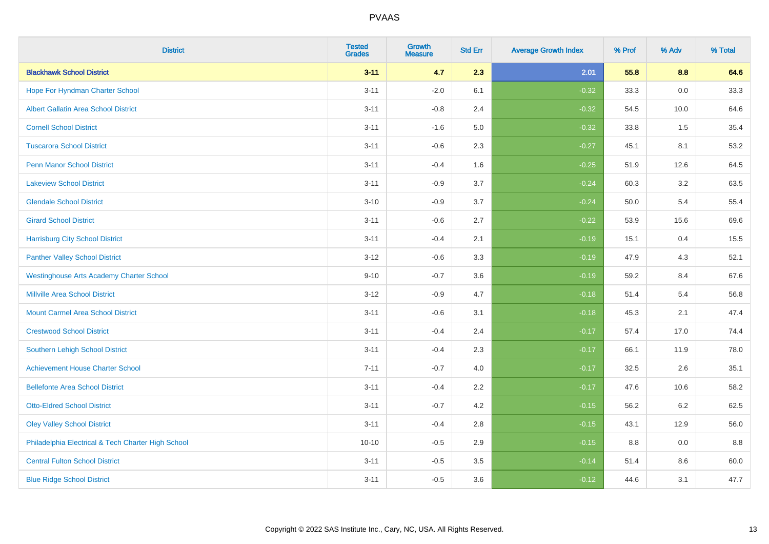| <b>District</b>                                    | <b>Tested</b><br><b>Grades</b> | <b>Growth</b><br><b>Measure</b> | <b>Std Err</b> | <b>Average Growth Index</b> | % Prof | % Adv   | % Total |
|----------------------------------------------------|--------------------------------|---------------------------------|----------------|-----------------------------|--------|---------|---------|
| <b>Blackhawk School District</b>                   | $3 - 11$                       | 4.7                             | 2.3            | 2.01                        | 55.8   | 8.8     | 64.6    |
| Hope For Hyndman Charter School                    | $3 - 11$                       | $-2.0$                          | 6.1            | $-0.32$                     | 33.3   | 0.0     | 33.3    |
| <b>Albert Gallatin Area School District</b>        | $3 - 11$                       | $-0.8$                          | 2.4            | $-0.32$                     | 54.5   | 10.0    | 64.6    |
| <b>Cornell School District</b>                     | $3 - 11$                       | $-1.6$                          | 5.0            | $-0.32$                     | 33.8   | 1.5     | 35.4    |
| <b>Tuscarora School District</b>                   | $3 - 11$                       | $-0.6$                          | 2.3            | $-0.27$                     | 45.1   | 8.1     | 53.2    |
| <b>Penn Manor School District</b>                  | $3 - 11$                       | $-0.4$                          | 1.6            | $-0.25$                     | 51.9   | 12.6    | 64.5    |
| <b>Lakeview School District</b>                    | $3 - 11$                       | $-0.9$                          | 3.7            | $-0.24$                     | 60.3   | 3.2     | 63.5    |
| <b>Glendale School District</b>                    | $3 - 10$                       | $-0.9$                          | 3.7            | $-0.24$                     | 50.0   | 5.4     | 55.4    |
| <b>Girard School District</b>                      | $3 - 11$                       | $-0.6$                          | 2.7            | $-0.22$                     | 53.9   | 15.6    | 69.6    |
| <b>Harrisburg City School District</b>             | $3 - 11$                       | $-0.4$                          | 2.1            | $-0.19$                     | 15.1   | 0.4     | 15.5    |
| <b>Panther Valley School District</b>              | $3 - 12$                       | $-0.6$                          | 3.3            | $-0.19$                     | 47.9   | 4.3     | 52.1    |
| <b>Westinghouse Arts Academy Charter School</b>    | $9 - 10$                       | $-0.7$                          | 3.6            | $-0.19$                     | 59.2   | 8.4     | 67.6    |
| <b>Millville Area School District</b>              | $3-12$                         | $-0.9$                          | 4.7            | $-0.18$                     | 51.4   | 5.4     | 56.8    |
| <b>Mount Carmel Area School District</b>           | $3 - 11$                       | $-0.6$                          | 3.1            | $-0.18$                     | 45.3   | 2.1     | 47.4    |
| <b>Crestwood School District</b>                   | $3 - 11$                       | $-0.4$                          | 2.4            | $-0.17$                     | 57.4   | 17.0    | 74.4    |
| Southern Lehigh School District                    | $3 - 11$                       | $-0.4$                          | 2.3            | $-0.17$                     | 66.1   | 11.9    | 78.0    |
| <b>Achievement House Charter School</b>            | $7 - 11$                       | $-0.7$                          | 4.0            | $-0.17$                     | 32.5   | 2.6     | 35.1    |
| <b>Bellefonte Area School District</b>             | $3 - 11$                       | $-0.4$                          | 2.2            | $-0.17$                     | 47.6   | 10.6    | 58.2    |
| <b>Otto-Eldred School District</b>                 | $3 - 11$                       | $-0.7$                          | 4.2            | $-0.15$                     | 56.2   | $6.2\,$ | 62.5    |
| <b>Oley Valley School District</b>                 | $3 - 11$                       | $-0.4$                          | 2.8            | $-0.15$                     | 43.1   | 12.9    | 56.0    |
| Philadelphia Electrical & Tech Charter High School | $10 - 10$                      | $-0.5$                          | 2.9            | $-0.15$                     | 8.8    | 0.0     | 8.8     |
| <b>Central Fulton School District</b>              | $3 - 11$                       | $-0.5$                          | 3.5            | $-0.14$                     | 51.4   | 8.6     | 60.0    |
| <b>Blue Ridge School District</b>                  | $3 - 11$                       | $-0.5$                          | 3.6            | $-0.12$                     | 44.6   | 3.1     | 47.7    |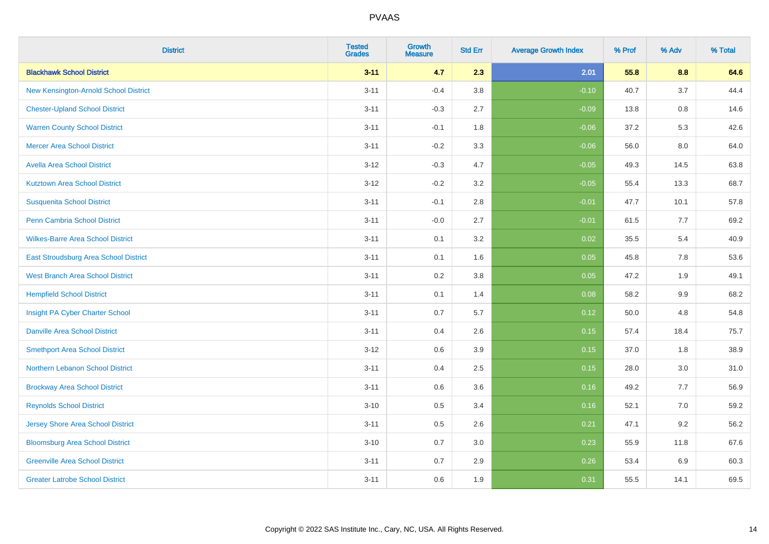| <b>District</b>                          | <b>Tested</b><br><b>Grades</b> | <b>Growth</b><br><b>Measure</b> | <b>Std Err</b> | <b>Average Growth Index</b> | % Prof | % Adv   | % Total |
|------------------------------------------|--------------------------------|---------------------------------|----------------|-----------------------------|--------|---------|---------|
| <b>Blackhawk School District</b>         | $3 - 11$                       | 4.7                             | 2.3            | 2.01                        | 55.8   | 8.8     | 64.6    |
| New Kensington-Arnold School District    | $3 - 11$                       | $-0.4$                          | 3.8            | $-0.10$                     | 40.7   | 3.7     | 44.4    |
| <b>Chester-Upland School District</b>    | $3 - 11$                       | $-0.3$                          | 2.7            | $-0.09$                     | 13.8   | $0.8\,$ | 14.6    |
| <b>Warren County School District</b>     | $3 - 11$                       | $-0.1$                          | 1.8            | $-0.06$                     | 37.2   | 5.3     | 42.6    |
| <b>Mercer Area School District</b>       | $3 - 11$                       | $-0.2$                          | 3.3            | $-0.06$                     | 56.0   | 8.0     | 64.0    |
| <b>Avella Area School District</b>       | $3 - 12$                       | $-0.3$                          | 4.7            | $-0.05$                     | 49.3   | 14.5    | 63.8    |
| <b>Kutztown Area School District</b>     | $3 - 12$                       | $-0.2$                          | 3.2            | $-0.05$                     | 55.4   | 13.3    | 68.7    |
| <b>Susquenita School District</b>        | $3 - 11$                       | $-0.1$                          | 2.8            | $-0.01$                     | 47.7   | 10.1    | 57.8    |
| Penn Cambria School District             | $3 - 11$                       | $-0.0$                          | 2.7            | $-0.01$                     | 61.5   | 7.7     | 69.2    |
| <b>Wilkes-Barre Area School District</b> | $3 - 11$                       | 0.1                             | 3.2            | 0.02                        | 35.5   | 5.4     | 40.9    |
| East Stroudsburg Area School District    | $3 - 11$                       | 0.1                             | 1.6            | 0.05                        | 45.8   | 7.8     | 53.6    |
| <b>West Branch Area School District</b>  | $3 - 11$                       | 0.2                             | 3.8            | 0.05                        | 47.2   | 1.9     | 49.1    |
| <b>Hempfield School District</b>         | $3 - 11$                       | 0.1                             | 1.4            | 0.08                        | 58.2   | $9.9\,$ | 68.2    |
| Insight PA Cyber Charter School          | $3 - 11$                       | 0.7                             | 5.7            | 0.12                        | 50.0   | 4.8     | 54.8    |
| <b>Danville Area School District</b>     | $3 - 11$                       | 0.4                             | 2.6            | 0.15                        | 57.4   | 18.4    | 75.7    |
| <b>Smethport Area School District</b>    | $3 - 12$                       | $0.6\,$                         | 3.9            | 0.15                        | 37.0   | 1.8     | 38.9    |
| Northern Lebanon School District         | $3 - 11$                       | 0.4                             | 2.5            | 0.15                        | 28.0   | 3.0     | 31.0    |
| <b>Brockway Area School District</b>     | $3 - 11$                       | 0.6                             | 3.6            | 0.16                        | 49.2   | 7.7     | 56.9    |
| <b>Reynolds School District</b>          | $3 - 10$                       | $0.5\,$                         | 3.4            | 0.16                        | 52.1   | 7.0     | 59.2    |
| Jersey Shore Area School District        | $3 - 11$                       | 0.5                             | 2.6            | 0.21                        | 47.1   | 9.2     | 56.2    |
| <b>Bloomsburg Area School District</b>   | $3 - 10$                       | 0.7                             | 3.0            | 0.23                        | 55.9   | 11.8    | 67.6    |
| <b>Greenville Area School District</b>   | $3 - 11$                       | 0.7                             | 2.9            | 0.26                        | 53.4   | 6.9     | 60.3    |
| <b>Greater Latrobe School District</b>   | $3 - 11$                       | 0.6                             | 1.9            | 0.31                        | 55.5   | 14.1    | 69.5    |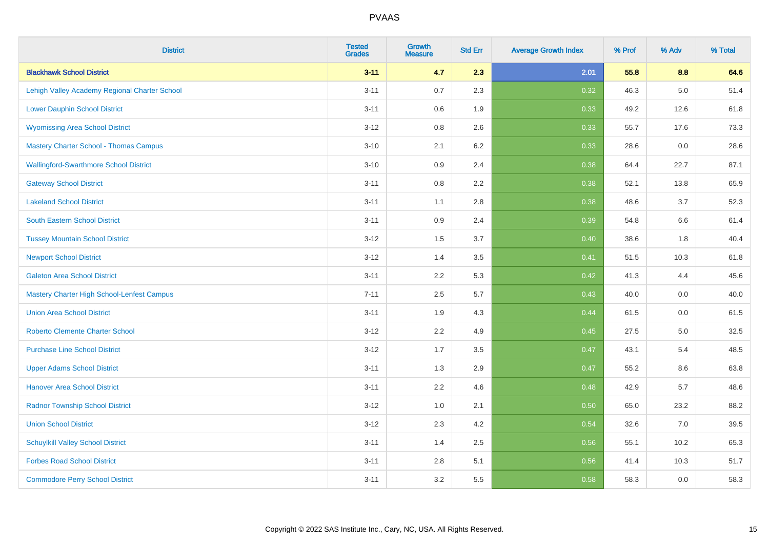| <b>District</b>                                   | <b>Tested</b><br><b>Grades</b> | <b>Growth</b><br><b>Measure</b> | <b>Std Err</b> | <b>Average Growth Index</b> | % Prof | % Adv   | % Total |
|---------------------------------------------------|--------------------------------|---------------------------------|----------------|-----------------------------|--------|---------|---------|
| <b>Blackhawk School District</b>                  | $3 - 11$                       | 4.7                             | 2.3            | 2.01                        | 55.8   | 8.8     | 64.6    |
| Lehigh Valley Academy Regional Charter School     | $3 - 11$                       | 0.7                             | 2.3            | 0.32                        | 46.3   | $5.0\,$ | 51.4    |
| <b>Lower Dauphin School District</b>              | $3 - 11$                       | 0.6                             | 1.9            | 0.33                        | 49.2   | 12.6    | 61.8    |
| <b>Wyomissing Area School District</b>            | $3 - 12$                       | 0.8                             | 2.6            | 0.33                        | 55.7   | 17.6    | 73.3    |
| <b>Mastery Charter School - Thomas Campus</b>     | $3 - 10$                       | 2.1                             | 6.2            | 0.33                        | 28.6   | 0.0     | 28.6    |
| <b>Wallingford-Swarthmore School District</b>     | $3 - 10$                       | 0.9                             | 2.4            | 0.38                        | 64.4   | 22.7    | 87.1    |
| <b>Gateway School District</b>                    | $3 - 11$                       | 0.8                             | 2.2            | 0.38                        | 52.1   | 13.8    | 65.9    |
| <b>Lakeland School District</b>                   | $3 - 11$                       | 1.1                             | 2.8            | 0.38                        | 48.6   | 3.7     | 52.3    |
| <b>South Eastern School District</b>              | $3 - 11$                       | 0.9                             | 2.4            | 0.39                        | 54.8   | 6.6     | 61.4    |
| <b>Tussey Mountain School District</b>            | $3 - 12$                       | 1.5                             | 3.7            | 0.40                        | 38.6   | 1.8     | 40.4    |
| <b>Newport School District</b>                    | $3 - 12$                       | 1.4                             | 3.5            | 0.41                        | 51.5   | 10.3    | 61.8    |
| <b>Galeton Area School District</b>               | $3 - 11$                       | 2.2                             | 5.3            | 0.42                        | 41.3   | 4.4     | 45.6    |
| <b>Mastery Charter High School-Lenfest Campus</b> | $7 - 11$                       | 2.5                             | 5.7            | 0.43                        | 40.0   | $0.0\,$ | 40.0    |
| <b>Union Area School District</b>                 | $3 - 11$                       | 1.9                             | 4.3            | 0.44                        | 61.5   | 0.0     | 61.5    |
| <b>Roberto Clemente Charter School</b>            | $3 - 12$                       | 2.2                             | 4.9            | $\boxed{0.45}$              | 27.5   | $5.0\,$ | 32.5    |
| <b>Purchase Line School District</b>              | $3 - 12$                       | 1.7                             | 3.5            | 0.47                        | 43.1   | 5.4     | 48.5    |
| <b>Upper Adams School District</b>                | $3 - 11$                       | 1.3                             | 2.9            | 0.47                        | 55.2   | 8.6     | 63.8    |
| <b>Hanover Area School District</b>               | $3 - 11$                       | 2.2                             | 4.6            | 0.48                        | 42.9   | 5.7     | 48.6    |
| <b>Radnor Township School District</b>            | $3 - 12$                       | 1.0                             | 2.1            | 0.50                        | 65.0   | 23.2    | 88.2    |
| <b>Union School District</b>                      | $3 - 12$                       | 2.3                             | 4.2            | 0.54                        | 32.6   | 7.0     | 39.5    |
| <b>Schuylkill Valley School District</b>          | $3 - 11$                       | 1.4                             | 2.5            | 0.56                        | 55.1   | 10.2    | 65.3    |
| <b>Forbes Road School District</b>                | $3 - 11$                       | 2.8                             | 5.1            | 0.56                        | 41.4   | 10.3    | 51.7    |
| <b>Commodore Perry School District</b>            | $3 - 11$                       | 3.2                             | 5.5            | 0.58                        | 58.3   | 0.0     | 58.3    |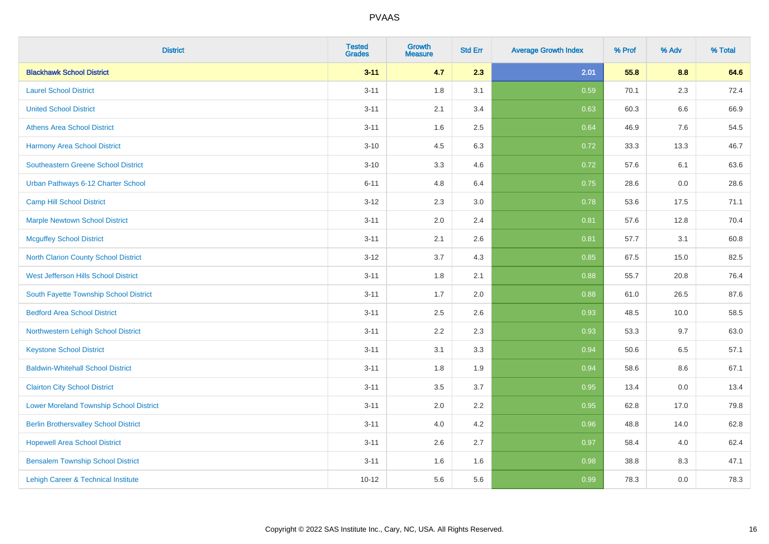| <b>District</b>                                | <b>Tested</b><br><b>Grades</b> | <b>Growth</b><br><b>Measure</b> | <b>Std Err</b> | <b>Average Growth Index</b> | % Prof | % Adv | % Total |
|------------------------------------------------|--------------------------------|---------------------------------|----------------|-----------------------------|--------|-------|---------|
| <b>Blackhawk School District</b>               | $3 - 11$                       | 4.7                             | 2.3            | 2.01                        | 55.8   | 8.8   | 64.6    |
| <b>Laurel School District</b>                  | $3 - 11$                       | 1.8                             | 3.1            | 0.59                        | 70.1   | 2.3   | 72.4    |
| <b>United School District</b>                  | $3 - 11$                       | 2.1                             | 3.4            | 0.63                        | 60.3   | 6.6   | 66.9    |
| <b>Athens Area School District</b>             | $3 - 11$                       | 1.6                             | 2.5            | 0.64                        | 46.9   | 7.6   | 54.5    |
| <b>Harmony Area School District</b>            | $3 - 10$                       | 4.5                             | 6.3            | 0.72                        | 33.3   | 13.3  | 46.7    |
| <b>Southeastern Greene School District</b>     | $3 - 10$                       | 3.3                             | 4.6            | 0.72                        | 57.6   | 6.1   | 63.6    |
| Urban Pathways 6-12 Charter School             | $6 - 11$                       | 4.8                             | 6.4            | 0.75                        | 28.6   | 0.0   | 28.6    |
| <b>Camp Hill School District</b>               | $3 - 12$                       | 2.3                             | 3.0            | 0.78                        | 53.6   | 17.5  | 71.1    |
| <b>Marple Newtown School District</b>          | $3 - 11$                       | 2.0                             | 2.4            | 0.81                        | 57.6   | 12.8  | 70.4    |
| <b>Mcguffey School District</b>                | $3 - 11$                       | 2.1                             | 2.6            | 0.81                        | 57.7   | 3.1   | 60.8    |
| North Clarion County School District           | $3 - 12$                       | 3.7                             | 4.3            | 0.85                        | 67.5   | 15.0  | 82.5    |
| West Jefferson Hills School District           | $3 - 11$                       | 1.8                             | 2.1            | 0.88                        | 55.7   | 20.8  | 76.4    |
| South Fayette Township School District         | $3 - 11$                       | 1.7                             | 2.0            | 0.88                        | 61.0   | 26.5  | 87.6    |
| <b>Bedford Area School District</b>            | $3 - 11$                       | 2.5                             | 2.6            | 0.93                        | 48.5   | 10.0  | 58.5    |
| Northwestern Lehigh School District            | $3 - 11$                       | 2.2                             | 2.3            | 0.93                        | 53.3   | 9.7   | 63.0    |
| <b>Keystone School District</b>                | $3 - 11$                       | 3.1                             | 3.3            | 0.94                        | 50.6   | 6.5   | 57.1    |
| <b>Baldwin-Whitehall School District</b>       | $3 - 11$                       | 1.8                             | 1.9            | 0.94                        | 58.6   | 8.6   | 67.1    |
| <b>Clairton City School District</b>           | $3 - 11$                       | 3.5                             | 3.7            | 0.95                        | 13.4   | 0.0   | 13.4    |
| <b>Lower Moreland Township School District</b> | $3 - 11$                       | 2.0                             | 2.2            | 0.95                        | 62.8   | 17.0  | 79.8    |
| <b>Berlin Brothersvalley School District</b>   | $3 - 11$                       | 4.0                             | 4.2            | 0.96                        | 48.8   | 14.0  | 62.8    |
| <b>Hopewell Area School District</b>           | $3 - 11$                       | 2.6                             | 2.7            | 0.97                        | 58.4   | 4.0   | 62.4    |
| <b>Bensalem Township School District</b>       | $3 - 11$                       | 1.6                             | 1.6            | 0.98                        | 38.8   | 8.3   | 47.1    |
| Lehigh Career & Technical Institute            | $10 - 12$                      | 5.6                             | 5.6            | 0.99                        | 78.3   | 0.0   | 78.3    |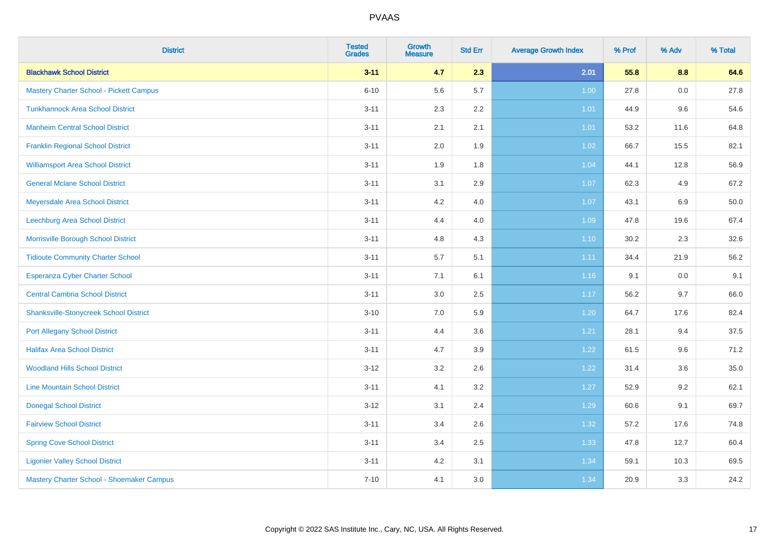| <b>District</b>                                | <b>Tested</b><br><b>Grades</b> | <b>Growth</b><br><b>Measure</b> | <b>Std Err</b> | <b>Average Growth Index</b> | % Prof | % Adv | % Total |
|------------------------------------------------|--------------------------------|---------------------------------|----------------|-----------------------------|--------|-------|---------|
| <b>Blackhawk School District</b>               | $3 - 11$                       | 4.7                             | 2.3            | 2.01                        | 55.8   | 8.8   | 64.6    |
| <b>Mastery Charter School - Pickett Campus</b> | $6 - 10$                       | 5.6                             | 5.7            | 1.00                        | 27.8   | 0.0   | 27.8    |
| <b>Tunkhannock Area School District</b>        | $3 - 11$                       | 2.3                             | 2.2            | 1.01                        | 44.9   | 9.6   | 54.6    |
| <b>Manheim Central School District</b>         | $3 - 11$                       | 2.1                             | 2.1            | 1.01                        | 53.2   | 11.6  | 64.8    |
| <b>Franklin Regional School District</b>       | $3 - 11$                       | 2.0                             | 1.9            | 1.02                        | 66.7   | 15.5  | 82.1    |
| <b>Williamsport Area School District</b>       | $3 - 11$                       | 1.9                             | 1.8            | 1.04                        | 44.1   | 12.8  | 56.9    |
| <b>General Mclane School District</b>          | $3 - 11$                       | 3.1                             | 2.9            | 1.07                        | 62.3   | 4.9   | 67.2    |
| Meyersdale Area School District                | $3 - 11$                       | 4.2                             | 4.0            | 1.07                        | 43.1   | 6.9   | 50.0    |
| Leechburg Area School District                 | $3 - 11$                       | 4.4                             | 4.0            | 1.09                        | 47.8   | 19.6  | 67.4    |
| Morrisville Borough School District            | $3 - 11$                       | 4.8                             | 4.3            | 1.10                        | 30.2   | 2.3   | 32.6    |
| <b>Tidioute Community Charter School</b>       | $3 - 11$                       | 5.7                             | 5.1            | 1.11                        | 34.4   | 21.9  | 56.2    |
| Esperanza Cyber Charter School                 | $3 - 11$                       | 7.1                             | 6.1            | 1.16                        | 9.1    | 0.0   | 9.1     |
| <b>Central Cambria School District</b>         | $3 - 11$                       | $3.0\,$                         | 2.5            | 1.17                        | 56.2   | 9.7   | 66.0    |
| <b>Shanksville-Stonycreek School District</b>  | $3 - 10$                       | 7.0                             | 5.9            | 1.20                        | 64.7   | 17.6  | 82.4    |
| <b>Port Allegany School District</b>           | $3 - 11$                       | 4.4                             | 3.6            | 1.21                        | 28.1   | 9.4   | 37.5    |
| <b>Halifax Area School District</b>            | $3 - 11$                       | 4.7                             | 3.9            | 1.22                        | 61.5   | 9.6   | 71.2    |
| <b>Woodland Hills School District</b>          | $3 - 12$                       | 3.2                             | 2.6            | 1.22                        | 31.4   | 3.6   | 35.0    |
| <b>Line Mountain School District</b>           | $3 - 11$                       | 4.1                             | 3.2            | 1.27                        | 52.9   | 9.2   | 62.1    |
| <b>Donegal School District</b>                 | $3 - 12$                       | 3.1                             | 2.4            | 1.29                        | 60.6   | 9.1   | 69.7    |
| <b>Fairview School District</b>                | $3 - 11$                       | 3.4                             | 2.6            | 1.32                        | 57.2   | 17.6  | 74.8    |
| <b>Spring Cove School District</b>             | $3 - 11$                       | 3.4                             | 2.5            | 1.33                        | 47.8   | 12.7  | 60.4    |
| <b>Ligonier Valley School District</b>         | $3 - 11$                       | 4.2                             | 3.1            | 1.34                        | 59.1   | 10.3  | 69.5    |
| Mastery Charter School - Shoemaker Campus      | $7 - 10$                       | 4.1                             | 3.0            | 1.34                        | 20.9   | 3.3   | 24.2    |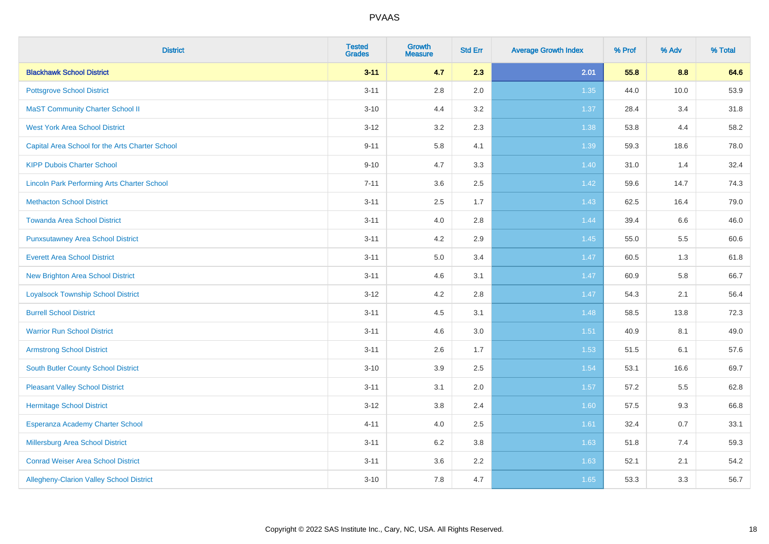| <b>District</b>                                    | <b>Tested</b><br><b>Grades</b> | <b>Growth</b><br><b>Measure</b> | <b>Std Err</b> | <b>Average Growth Index</b> | % Prof | % Adv | % Total |
|----------------------------------------------------|--------------------------------|---------------------------------|----------------|-----------------------------|--------|-------|---------|
| <b>Blackhawk School District</b>                   | $3 - 11$                       | 4.7                             | 2.3            | 2.01                        | 55.8   | 8.8   | 64.6    |
| <b>Pottsgrove School District</b>                  | $3 - 11$                       | 2.8                             | 2.0            | 1.35                        | 44.0   | 10.0  | 53.9    |
| <b>MaST Community Charter School II</b>            | $3 - 10$                       | 4.4                             | 3.2            | 1.37                        | 28.4   | 3.4   | 31.8    |
| <b>West York Area School District</b>              | $3 - 12$                       | 3.2                             | 2.3            | 1.38                        | 53.8   | 4.4   | 58.2    |
| Capital Area School for the Arts Charter School    | $9 - 11$                       | 5.8                             | 4.1            | 1.39                        | 59.3   | 18.6  | 78.0    |
| <b>KIPP Dubois Charter School</b>                  | $9 - 10$                       | 4.7                             | 3.3            | 1.40                        | 31.0   | 1.4   | 32.4    |
| <b>Lincoln Park Performing Arts Charter School</b> | $7 - 11$                       | 3.6                             | 2.5            | $1.42$                      | 59.6   | 14.7  | 74.3    |
| <b>Methacton School District</b>                   | $3 - 11$                       | 2.5                             | 1.7            | 1.43                        | 62.5   | 16.4  | 79.0    |
| <b>Towanda Area School District</b>                | $3 - 11$                       | 4.0                             | 2.8            | 1.44                        | 39.4   | 6.6   | 46.0    |
| <b>Punxsutawney Area School District</b>           | $3 - 11$                       | 4.2                             | 2.9            | $1.45$                      | 55.0   | 5.5   | 60.6    |
| <b>Everett Area School District</b>                | $3 - 11$                       | 5.0                             | 3.4            | 1.47                        | 60.5   | 1.3   | 61.8    |
| New Brighton Area School District                  | $3 - 11$                       | 4.6                             | 3.1            | $1.47$                      | 60.9   | 5.8   | 66.7    |
| <b>Loyalsock Township School District</b>          | $3 - 12$                       | 4.2                             | 2.8            | 1.47                        | 54.3   | 2.1   | 56.4    |
| <b>Burrell School District</b>                     | $3 - 11$                       | 4.5                             | 3.1            | 1.48                        | 58.5   | 13.8  | 72.3    |
| <b>Warrior Run School District</b>                 | $3 - 11$                       | 4.6                             | 3.0            | 1.51                        | 40.9   | 8.1   | 49.0    |
| <b>Armstrong School District</b>                   | $3 - 11$                       | 2.6                             | 1.7            | 1.53                        | 51.5   | 6.1   | 57.6    |
| South Butler County School District                | $3 - 10$                       | 3.9                             | 2.5            | 1.54                        | 53.1   | 16.6  | 69.7    |
| <b>Pleasant Valley School District</b>             | $3 - 11$                       | 3.1                             | 2.0            | 1.57                        | 57.2   | 5.5   | 62.8    |
| <b>Hermitage School District</b>                   | $3 - 12$                       | 3.8                             | 2.4            | 1.60                        | 57.5   | 9.3   | 66.8    |
| Esperanza Academy Charter School                   | $4 - 11$                       | 4.0                             | 2.5            | 1.61                        | 32.4   | 0.7   | 33.1    |
| Millersburg Area School District                   | $3 - 11$                       | 6.2                             | $3.8\,$        | 1.63                        | 51.8   | 7.4   | 59.3    |
| <b>Conrad Weiser Area School District</b>          | $3 - 11$                       | 3.6                             | 2.2            | 1.63                        | 52.1   | 2.1   | 54.2    |
| <b>Allegheny-Clarion Valley School District</b>    | $3 - 10$                       | 7.8                             | 4.7            | 1.65                        | 53.3   | 3.3   | 56.7    |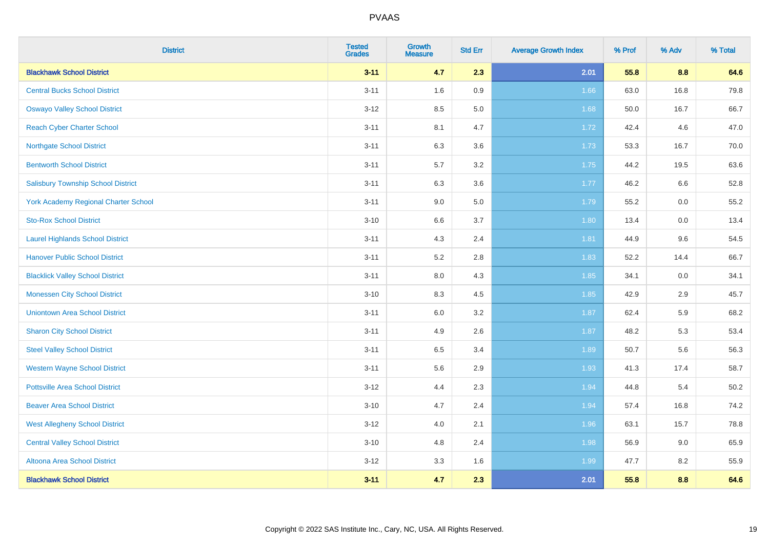| <b>District</b>                             | <b>Tested</b><br><b>Grades</b> | <b>Growth</b><br><b>Measure</b> | <b>Std Err</b> | <b>Average Growth Index</b> | % Prof | % Adv | % Total |
|---------------------------------------------|--------------------------------|---------------------------------|----------------|-----------------------------|--------|-------|---------|
| <b>Blackhawk School District</b>            | $3 - 11$                       | 4.7                             | 2.3            | 2.01                        | 55.8   | 8.8   | 64.6    |
| <b>Central Bucks School District</b>        | $3 - 11$                       | 1.6                             | 0.9            | 1.66                        | 63.0   | 16.8  | 79.8    |
| <b>Oswayo Valley School District</b>        | $3 - 12$                       | 8.5                             | 5.0            | 1.68                        | 50.0   | 16.7  | 66.7    |
| <b>Reach Cyber Charter School</b>           | $3 - 11$                       | 8.1                             | 4.7            | 1.72                        | 42.4   | 4.6   | 47.0    |
| <b>Northgate School District</b>            | $3 - 11$                       | 6.3                             | 3.6            | 1.73                        | 53.3   | 16.7  | 70.0    |
| <b>Bentworth School District</b>            | $3 - 11$                       | 5.7                             | 3.2            | $1.75$                      | 44.2   | 19.5  | 63.6    |
| <b>Salisbury Township School District</b>   | $3 - 11$                       | 6.3                             | 3.6            | 1.77                        | 46.2   | 6.6   | 52.8    |
| <b>York Academy Regional Charter School</b> | $3 - 11$                       | 9.0                             | 5.0            | 1.79                        | 55.2   | 0.0   | 55.2    |
| <b>Sto-Rox School District</b>              | $3 - 10$                       | 6.6                             | 3.7            | 1.80                        | 13.4   | 0.0   | 13.4    |
| <b>Laurel Highlands School District</b>     | $3 - 11$                       | 4.3                             | 2.4            | 1.81                        | 44.9   | 9.6   | 54.5    |
| <b>Hanover Public School District</b>       | $3 - 11$                       | 5.2                             | 2.8            | 1.83                        | 52.2   | 14.4  | 66.7    |
| <b>Blacklick Valley School District</b>     | $3 - 11$                       | 8.0                             | 4.3            | 1.85                        | 34.1   | 0.0   | 34.1    |
| <b>Monessen City School District</b>        | $3 - 10$                       | 8.3                             | 4.5            | 1.85                        | 42.9   | 2.9   | 45.7    |
| <b>Uniontown Area School District</b>       | $3 - 11$                       | $6.0\,$                         | 3.2            | 1.87                        | 62.4   | 5.9   | 68.2    |
| <b>Sharon City School District</b>          | $3 - 11$                       | 4.9                             | 2.6            | 1.87                        | 48.2   | 5.3   | 53.4    |
| <b>Steel Valley School District</b>         | $3 - 11$                       | 6.5                             | 3.4            | 1.89                        | 50.7   | 5.6   | 56.3    |
| <b>Western Wayne School District</b>        | $3 - 11$                       | 5.6                             | 2.9            | 1.93                        | 41.3   | 17.4  | 58.7    |
| <b>Pottsville Area School District</b>      | $3 - 12$                       | 4.4                             | 2.3            | 1.94                        | 44.8   | 5.4   | 50.2    |
| <b>Beaver Area School District</b>          | $3 - 10$                       | 4.7                             | 2.4            | 1.94                        | 57.4   | 16.8  | 74.2    |
| <b>West Allegheny School District</b>       | $3 - 12$                       | 4.0                             | 2.1            | 1.96                        | 63.1   | 15.7  | 78.8    |
| <b>Central Valley School District</b>       | $3 - 10$                       | 4.8                             | 2.4            | 1.98                        | 56.9   | 9.0   | 65.9    |
| Altoona Area School District                | $3 - 12$                       | 3.3                             | 1.6            | 1.99                        | 47.7   | 8.2   | 55.9    |
| <b>Blackhawk School District</b>            | $3 - 11$                       | 4.7                             | 2.3            | 2.01                        | 55.8   | 8.8   | 64.6    |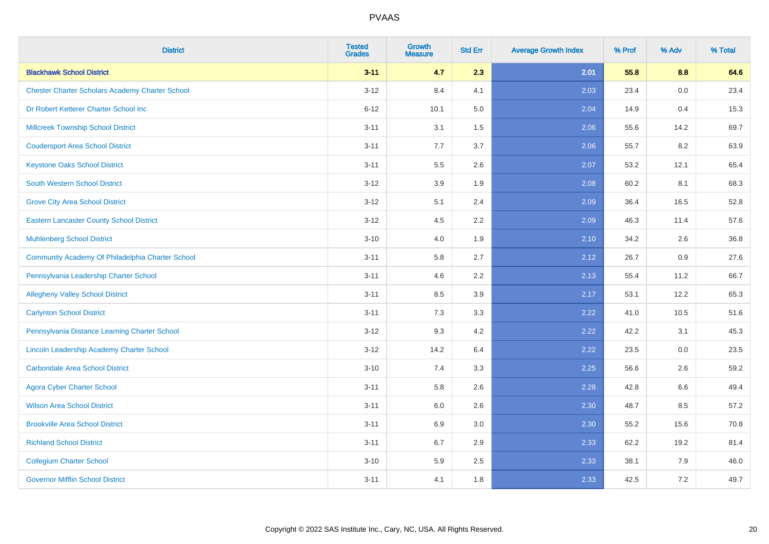| <b>District</b>                                        | <b>Tested</b><br><b>Grades</b> | <b>Growth</b><br><b>Measure</b> | <b>Std Err</b> | <b>Average Growth Index</b> | % Prof | % Adv   | % Total |
|--------------------------------------------------------|--------------------------------|---------------------------------|----------------|-----------------------------|--------|---------|---------|
| <b>Blackhawk School District</b>                       | $3 - 11$                       | 4.7                             | 2.3            | 2.01                        | 55.8   | 8.8     | 64.6    |
| <b>Chester Charter Scholars Academy Charter School</b> | $3 - 12$                       | 8.4                             | 4.1            | 2.03                        | 23.4   | 0.0     | 23.4    |
| Dr Robert Ketterer Charter School Inc                  | $6 - 12$                       | 10.1                            | 5.0            | 2.04                        | 14.9   | 0.4     | 15.3    |
| <b>Millcreek Township School District</b>              | $3 - 11$                       | 3.1                             | $1.5\,$        | 2.06                        | 55.6   | 14.2    | 69.7    |
| <b>Coudersport Area School District</b>                | $3 - 11$                       | 7.7                             | 3.7            | 2.06                        | 55.7   | 8.2     | 63.9    |
| <b>Keystone Oaks School District</b>                   | $3 - 11$                       | $5.5\,$                         | 2.6            | 2.07                        | 53.2   | 12.1    | 65.4    |
| South Western School District                          | $3 - 12$                       | 3.9                             | 1.9            | 2.08                        | 60.2   | 8.1     | 68.3    |
| <b>Grove City Area School District</b>                 | $3 - 12$                       | 5.1                             | 2.4            | 2.09                        | 36.4   | 16.5    | 52.8    |
| <b>Eastern Lancaster County School District</b>        | $3 - 12$                       | 4.5                             | 2.2            | 2.09                        | 46.3   | 11.4    | 57.6    |
| <b>Muhlenberg School District</b>                      | $3 - 10$                       | 4.0                             | 1.9            | 2.10                        | 34.2   | $2.6\,$ | 36.8    |
| Community Academy Of Philadelphia Charter School       | $3 - 11$                       | 5.8                             | 2.7            | 2.12                        | 26.7   | 0.9     | 27.6    |
| Pennsylvania Leadership Charter School                 | $3 - 11$                       | 4.6                             | 2.2            | 2.13                        | 55.4   | 11.2    | 66.7    |
| <b>Allegheny Valley School District</b>                | $3 - 11$                       | 8.5                             | 3.9            | 2.17                        | 53.1   | 12.2    | 65.3    |
| <b>Carlynton School District</b>                       | $3 - 11$                       | 7.3                             | 3.3            | 2.22                        | 41.0   | 10.5    | 51.6    |
| Pennsylvania Distance Learning Charter School          | $3 - 12$                       | 9.3                             | 4.2            | 2.22                        | 42.2   | 3.1     | 45.3    |
| Lincoln Leadership Academy Charter School              | $3 - 12$                       | 14.2                            | 6.4            | 2.22                        | 23.5   | 0.0     | 23.5    |
| <b>Carbondale Area School District</b>                 | $3 - 10$                       | 7.4                             | 3.3            | 2.25                        | 56.6   | 2.6     | 59.2    |
| <b>Agora Cyber Charter School</b>                      | $3 - 11$                       | 5.8                             | 2.6            | 2.28                        | 42.8   | 6.6     | 49.4    |
| <b>Wilson Area School District</b>                     | $3 - 11$                       | 6.0                             | 2.6            | 2.30                        | 48.7   | 8.5     | 57.2    |
| <b>Brookville Area School District</b>                 | $3 - 11$                       | 6.9                             | 3.0            | 2.30                        | 55.2   | 15.6    | 70.8    |
| <b>Richland School District</b>                        | $3 - 11$                       | 6.7                             | 2.9            | 2.33                        | 62.2   | 19.2    | 81.4    |
| <b>Collegium Charter School</b>                        | $3 - 10$                       | 5.9                             | 2.5            | 2.33                        | 38.1   | 7.9     | 46.0    |
| <b>Governor Mifflin School District</b>                | $3 - 11$                       | 4.1                             | 1.8            | 2.33                        | 42.5   | 7.2     | 49.7    |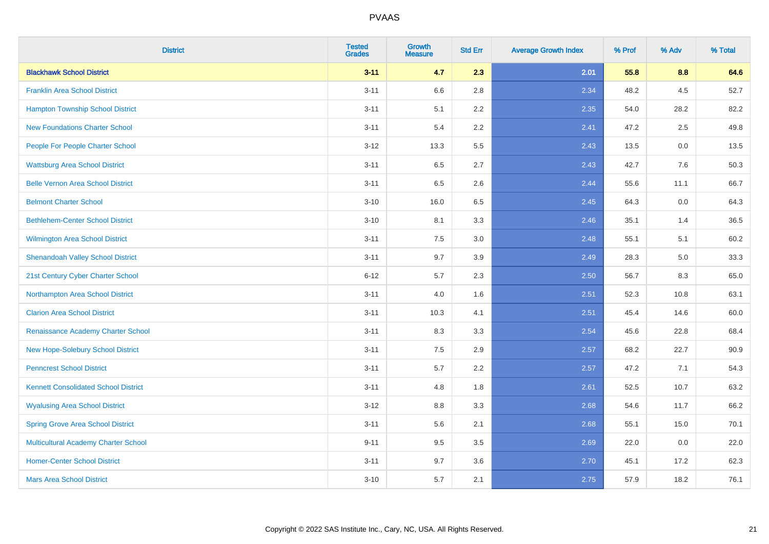| <b>District</b>                             | <b>Tested</b><br><b>Grades</b> | <b>Growth</b><br><b>Measure</b> | <b>Std Err</b> | <b>Average Growth Index</b> | % Prof | % Adv | % Total |
|---------------------------------------------|--------------------------------|---------------------------------|----------------|-----------------------------|--------|-------|---------|
| <b>Blackhawk School District</b>            | $3 - 11$                       | 4.7                             | 2.3            | 2.01                        | 55.8   | 8.8   | 64.6    |
| <b>Franklin Area School District</b>        | $3 - 11$                       | 6.6                             | 2.8            | 2.34                        | 48.2   | 4.5   | 52.7    |
| <b>Hampton Township School District</b>     | $3 - 11$                       | 5.1                             | 2.2            | 2.35                        | 54.0   | 28.2  | 82.2    |
| <b>New Foundations Charter School</b>       | $3 - 11$                       | 5.4                             | 2.2            | 2.41                        | 47.2   | 2.5   | 49.8    |
| People For People Charter School            | $3 - 12$                       | 13.3                            | 5.5            | 2.43                        | 13.5   | 0.0   | 13.5    |
| <b>Wattsburg Area School District</b>       | $3 - 11$                       | 6.5                             | 2.7            | 2.43                        | 42.7   | 7.6   | 50.3    |
| <b>Belle Vernon Area School District</b>    | $3 - 11$                       | 6.5                             | 2.6            | 2.44                        | 55.6   | 11.1  | 66.7    |
| <b>Belmont Charter School</b>               | $3 - 10$                       | 16.0                            | 6.5            | 2.45                        | 64.3   | 0.0   | 64.3    |
| <b>Bethlehem-Center School District</b>     | $3 - 10$                       | 8.1                             | 3.3            | 2.46                        | 35.1   | 1.4   | 36.5    |
| Wilmington Area School District             | $3 - 11$                       | 7.5                             | 3.0            | 2.48                        | 55.1   | 5.1   | 60.2    |
| <b>Shenandoah Valley School District</b>    | $3 - 11$                       | 9.7                             | 3.9            | 2.49                        | 28.3   | 5.0   | 33.3    |
| 21st Century Cyber Charter School           | $6 - 12$                       | 5.7                             | 2.3            | 2.50                        | 56.7   | 8.3   | 65.0    |
| Northampton Area School District            | $3 - 11$                       | 4.0                             | 1.6            | 2.51                        | 52.3   | 10.8  | 63.1    |
| <b>Clarion Area School District</b>         | $3 - 11$                       | 10.3                            | 4.1            | 2.51                        | 45.4   | 14.6  | 60.0    |
| Renaissance Academy Charter School          | $3 - 11$                       | 8.3                             | 3.3            | 2.54                        | 45.6   | 22.8  | 68.4    |
| New Hope-Solebury School District           | $3 - 11$                       | 7.5                             | 2.9            | 2.57                        | 68.2   | 22.7  | 90.9    |
| <b>Penncrest School District</b>            | $3 - 11$                       | 5.7                             | 2.2            | 2.57                        | 47.2   | 7.1   | 54.3    |
| <b>Kennett Consolidated School District</b> | $3 - 11$                       | 4.8                             | 1.8            | 2.61                        | 52.5   | 10.7  | 63.2    |
| <b>Wyalusing Area School District</b>       | $3 - 12$                       | 8.8                             | 3.3            | 2.68                        | 54.6   | 11.7  | 66.2    |
| <b>Spring Grove Area School District</b>    | $3 - 11$                       | 5.6                             | 2.1            | 2.68                        | 55.1   | 15.0  | 70.1    |
| <b>Multicultural Academy Charter School</b> | $9 - 11$                       | 9.5                             | 3.5            | 2.69                        | 22.0   | 0.0   | 22.0    |
| <b>Homer-Center School District</b>         | $3 - 11$                       | 9.7                             | 3.6            | 2.70                        | 45.1   | 17.2  | 62.3    |
| <b>Mars Area School District</b>            | $3 - 10$                       | 5.7                             | 2.1            | 2.75                        | 57.9   | 18.2  | 76.1    |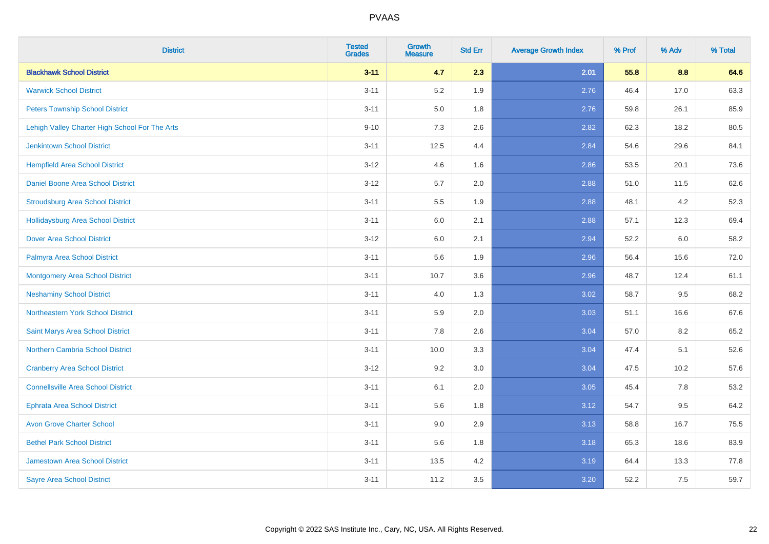| <b>District</b>                                | <b>Tested</b><br><b>Grades</b> | <b>Growth</b><br><b>Measure</b> | <b>Std Err</b> | <b>Average Growth Index</b> | % Prof | % Adv | % Total |
|------------------------------------------------|--------------------------------|---------------------------------|----------------|-----------------------------|--------|-------|---------|
| <b>Blackhawk School District</b>               | $3 - 11$                       | 4.7                             | 2.3            | 2.01                        | 55.8   | 8.8   | 64.6    |
| <b>Warwick School District</b>                 | $3 - 11$                       | 5.2                             | 1.9            | 2.76                        | 46.4   | 17.0  | 63.3    |
| <b>Peters Township School District</b>         | $3 - 11$                       | 5.0                             | 1.8            | 2.76                        | 59.8   | 26.1  | 85.9    |
| Lehigh Valley Charter High School For The Arts | $9 - 10$                       | 7.3                             | 2.6            | 2.82                        | 62.3   | 18.2  | 80.5    |
| <b>Jenkintown School District</b>              | $3 - 11$                       | 12.5                            | 4.4            | 2.84                        | 54.6   | 29.6  | 84.1    |
| <b>Hempfield Area School District</b>          | $3 - 12$                       | 4.6                             | 1.6            | 2.86                        | 53.5   | 20.1  | 73.6    |
| Daniel Boone Area School District              | $3 - 12$                       | 5.7                             | 2.0            | 2.88                        | 51.0   | 11.5  | 62.6    |
| <b>Stroudsburg Area School District</b>        | $3 - 11$                       | 5.5                             | 1.9            | 2.88                        | 48.1   | 4.2   | 52.3    |
| <b>Hollidaysburg Area School District</b>      | $3 - 11$                       | 6.0                             | 2.1            | 2.88                        | 57.1   | 12.3  | 69.4    |
| <b>Dover Area School District</b>              | $3-12$                         | 6.0                             | 2.1            | 2.94                        | 52.2   | 6.0   | 58.2    |
| Palmyra Area School District                   | $3 - 11$                       | 5.6                             | 1.9            | 2.96                        | 56.4   | 15.6  | 72.0    |
| <b>Montgomery Area School District</b>         | $3 - 11$                       | 10.7                            | 3.6            | 2.96                        | 48.7   | 12.4  | 61.1    |
| <b>Neshaminy School District</b>               | $3 - 11$                       | 4.0                             | 1.3            | 3.02                        | 58.7   | 9.5   | 68.2    |
| Northeastern York School District              | $3 - 11$                       | 5.9                             | 2.0            | 3.03                        | 51.1   | 16.6  | 67.6    |
| Saint Marys Area School District               | $3 - 11$                       | 7.8                             | 2.6            | 3.04                        | 57.0   | 8.2   | 65.2    |
| <b>Northern Cambria School District</b>        | $3 - 11$                       | 10.0                            | 3.3            | 3.04                        | 47.4   | 5.1   | 52.6    |
| <b>Cranberry Area School District</b>          | $3-12$                         | 9.2                             | 3.0            | 3.04                        | 47.5   | 10.2  | 57.6    |
| <b>Connellsville Area School District</b>      | $3 - 11$                       | 6.1                             | 2.0            | 3.05                        | 45.4   | 7.8   | 53.2    |
| <b>Ephrata Area School District</b>            | $3 - 11$                       | 5.6                             | 1.8            | 3.12                        | 54.7   | 9.5   | 64.2    |
| <b>Avon Grove Charter School</b>               | $3 - 11$                       | 9.0                             | 2.9            | 3.13                        | 58.8   | 16.7  | 75.5    |
| <b>Bethel Park School District</b>             | $3 - 11$                       | 5.6                             | 1.8            | 3.18                        | 65.3   | 18.6  | 83.9    |
| <b>Jamestown Area School District</b>          | $3 - 11$                       | 13.5                            | 4.2            | 3.19                        | 64.4   | 13.3  | 77.8    |
| <b>Sayre Area School District</b>              | $3 - 11$                       | 11.2                            | 3.5            | 3.20                        | 52.2   | 7.5   | 59.7    |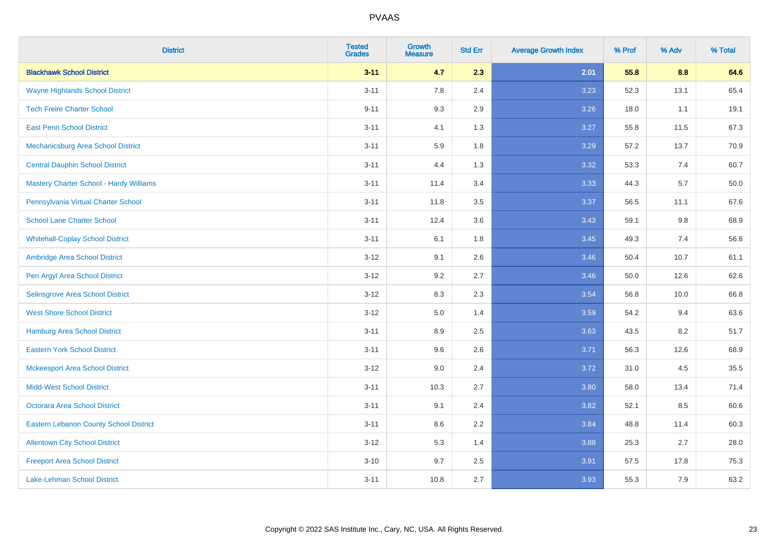| <b>District</b>                                | <b>Tested</b><br><b>Grades</b> | <b>Growth</b><br><b>Measure</b> | <b>Std Err</b> | <b>Average Growth Index</b> | % Prof | % Adv | % Total |
|------------------------------------------------|--------------------------------|---------------------------------|----------------|-----------------------------|--------|-------|---------|
| <b>Blackhawk School District</b>               | $3 - 11$                       | 4.7                             | 2.3            | 2.01                        | 55.8   | 8.8   | 64.6    |
| <b>Wayne Highlands School District</b>         | $3 - 11$                       | 7.8                             | 2.4            | 3.23                        | 52.3   | 13.1  | 65.4    |
| <b>Tech Freire Charter School</b>              | $9 - 11$                       | 9.3                             | 2.9            | 3.26                        | 18.0   | 1.1   | 19.1    |
| <b>East Penn School District</b>               | $3 - 11$                       | 4.1                             | 1.3            | 3.27                        | 55.8   | 11.5  | 67.3    |
| Mechanicsburg Area School District             | $3 - 11$                       | 5.9                             | 1.8            | 3.29                        | 57.2   | 13.7  | 70.9    |
| <b>Central Dauphin School District</b>         | $3 - 11$                       | 4.4                             | 1.3            | 3.32                        | 53.3   | 7.4   | 60.7    |
| <b>Mastery Charter School - Hardy Williams</b> | $3 - 11$                       | 11.4                            | 3.4            | 3.33                        | 44.3   | 5.7   | 50.0    |
| Pennsylvania Virtual Charter School            | $3 - 11$                       | 11.8                            | 3.5            | 3.37                        | 56.5   | 11.1  | 67.6    |
| <b>School Lane Charter School</b>              | $3 - 11$                       | 12.4                            | 3.6            | 3.43                        | 59.1   | 9.8   | 68.9    |
| <b>Whitehall-Coplay School District</b>        | $3 - 11$                       | 6.1                             | 1.8            | 3.45                        | 49.3   | 7.4   | 56.6    |
| Ambridge Area School District                  | $3 - 12$                       | 9.1                             | 2.6            | 3.46                        | 50.4   | 10.7  | 61.1    |
| Pen Argyl Area School District                 | $3 - 12$                       | 9.2                             | 2.7            | 3.46                        | 50.0   | 12.6  | 62.6    |
| Selinsgrove Area School District               | $3 - 12$                       | 8.3                             | 2.3            | 3.54                        | 56.8   | 10.0  | 66.8    |
| <b>West Shore School District</b>              | $3 - 12$                       | $5.0\,$                         | 1.4            | 3.59                        | 54.2   | 9.4   | 63.6    |
| <b>Hamburg Area School District</b>            | $3 - 11$                       | 8.9                             | 2.5            | 3.63                        | 43.5   | 8.2   | 51.7    |
| <b>Eastern York School District</b>            | $3 - 11$                       | 9.6                             | 2.6            | 3.71                        | 56.3   | 12.6  | 68.9    |
| <b>Mckeesport Area School District</b>         | $3 - 12$                       | 9.0                             | 2.4            | 3.72                        | 31.0   | 4.5   | 35.5    |
| <b>Midd-West School District</b>               | $3 - 11$                       | 10.3                            | 2.7            | 3.80                        | 58.0   | 13.4  | 71.4    |
| <b>Octorara Area School District</b>           | $3 - 11$                       | 9.1                             | 2.4            | 3.82                        | 52.1   | 8.5   | 60.6    |
| <b>Eastern Lebanon County School District</b>  | $3 - 11$                       | 8.6                             | 2.2            | 3.84                        | 48.8   | 11.4  | 60.3    |
| <b>Allentown City School District</b>          | $3-12$                         | $5.3\,$                         | 1.4            | 3.88                        | 25.3   | 2.7   | 28.0    |
| <b>Freeport Area School District</b>           | $3 - 10$                       | 9.7                             | 2.5            | 3.91                        | 57.5   | 17.8  | 75.3    |
| Lake-Lehman School District                    | $3 - 11$                       | 10.8                            | 2.7            | 3.93                        | 55.3   | 7.9   | 63.2    |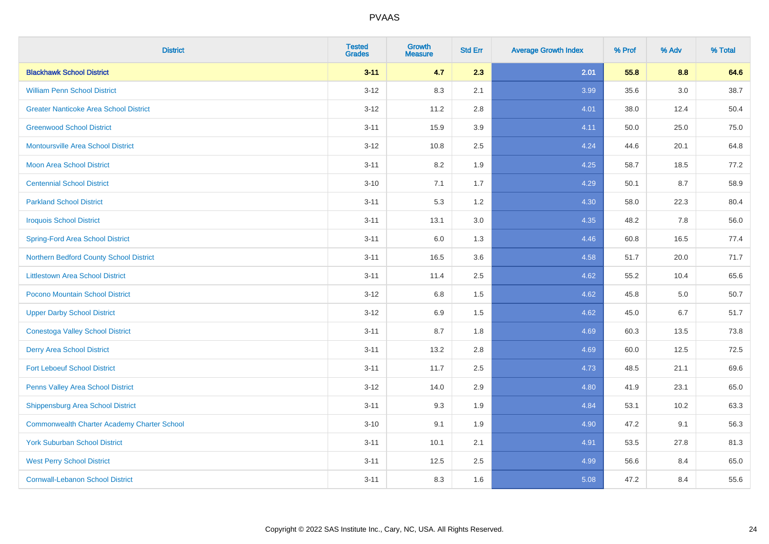| <b>District</b>                                    | <b>Tested</b><br><b>Grades</b> | <b>Growth</b><br><b>Measure</b> | <b>Std Err</b> | <b>Average Growth Index</b> | % Prof | % Adv | % Total |
|----------------------------------------------------|--------------------------------|---------------------------------|----------------|-----------------------------|--------|-------|---------|
| <b>Blackhawk School District</b>                   | $3 - 11$                       | 4.7                             | 2.3            | 2.01                        | 55.8   | 8.8   | 64.6    |
| <b>William Penn School District</b>                | $3 - 12$                       | 8.3                             | 2.1            | 3.99                        | 35.6   | 3.0   | 38.7    |
| <b>Greater Nanticoke Area School District</b>      | $3 - 12$                       | 11.2                            | 2.8            | 4.01                        | 38.0   | 12.4  | 50.4    |
| <b>Greenwood School District</b>                   | $3 - 11$                       | 15.9                            | 3.9            | 4.11                        | 50.0   | 25.0  | 75.0    |
| <b>Montoursville Area School District</b>          | $3 - 12$                       | 10.8                            | 2.5            | 4.24                        | 44.6   | 20.1  | 64.8    |
| <b>Moon Area School District</b>                   | $3 - 11$                       | 8.2                             | 1.9            | 4.25                        | 58.7   | 18.5  | 77.2    |
| <b>Centennial School District</b>                  | $3 - 10$                       | 7.1                             | 1.7            | 4.29                        | 50.1   | 8.7   | 58.9    |
| <b>Parkland School District</b>                    | $3 - 11$                       | 5.3                             | 1.2            | 4.30                        | 58.0   | 22.3  | 80.4    |
| <b>Iroquois School District</b>                    | $3 - 11$                       | 13.1                            | 3.0            | 4.35                        | 48.2   | 7.8   | 56.0    |
| <b>Spring-Ford Area School District</b>            | $3 - 11$                       | 6.0                             | 1.3            | 4.46                        | 60.8   | 16.5  | 77.4    |
| Northern Bedford County School District            | $3 - 11$                       | 16.5                            | 3.6            | 4.58                        | 51.7   | 20.0  | 71.7    |
| <b>Littlestown Area School District</b>            | $3 - 11$                       | 11.4                            | 2.5            | 4.62                        | 55.2   | 10.4  | 65.6    |
| Pocono Mountain School District                    | $3 - 12$                       | 6.8                             | 1.5            | 4.62                        | 45.8   | 5.0   | 50.7    |
| <b>Upper Darby School District</b>                 | $3 - 12$                       | 6.9                             | 1.5            | 4.62                        | 45.0   | 6.7   | 51.7    |
| <b>Conestoga Valley School District</b>            | $3 - 11$                       | 8.7                             | 1.8            | 4.69                        | 60.3   | 13.5  | 73.8    |
| <b>Derry Area School District</b>                  | $3 - 11$                       | 13.2                            | 2.8            | 4.69                        | 60.0   | 12.5  | 72.5    |
| <b>Fort Leboeuf School District</b>                | $3 - 11$                       | 11.7                            | 2.5            | 4.73                        | 48.5   | 21.1  | 69.6    |
| Penns Valley Area School District                  | $3 - 12$                       | 14.0                            | 2.9            | 4.80                        | 41.9   | 23.1  | 65.0    |
| <b>Shippensburg Area School District</b>           | $3 - 11$                       | 9.3                             | 1.9            | 4.84                        | 53.1   | 10.2  | 63.3    |
| <b>Commonwealth Charter Academy Charter School</b> | $3 - 10$                       | 9.1                             | 1.9            | 4.90                        | 47.2   | 9.1   | 56.3    |
| <b>York Suburban School District</b>               | $3 - 11$                       | 10.1                            | 2.1            | 4.91                        | 53.5   | 27.8  | 81.3    |
| <b>West Perry School District</b>                  | $3 - 11$                       | 12.5                            | 2.5            | 4.99                        | 56.6   | 8.4   | 65.0    |
| <b>Cornwall-Lebanon School District</b>            | $3 - 11$                       | 8.3                             | 1.6            | 5.08                        | 47.2   | 8.4   | 55.6    |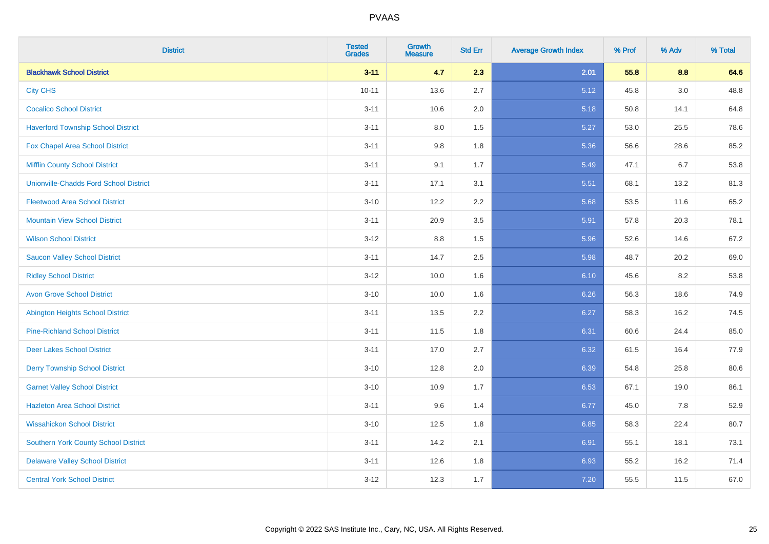| <b>District</b>                               | <b>Tested</b><br><b>Grades</b> | <b>Growth</b><br><b>Measure</b> | <b>Std Err</b> | <b>Average Growth Index</b> | % Prof | % Adv | % Total |
|-----------------------------------------------|--------------------------------|---------------------------------|----------------|-----------------------------|--------|-------|---------|
| <b>Blackhawk School District</b>              | $3 - 11$                       | 4.7                             | 2.3            | 2.01                        | 55.8   | 8.8   | 64.6    |
| <b>City CHS</b>                               | $10 - 11$                      | 13.6                            | 2.7            | 5.12                        | 45.8   | 3.0   | 48.8    |
| <b>Cocalico School District</b>               | $3 - 11$                       | 10.6                            | 2.0            | 5.18                        | 50.8   | 14.1  | 64.8    |
| <b>Haverford Township School District</b>     | $3 - 11$                       | $8.0\,$                         | 1.5            | 5.27                        | 53.0   | 25.5  | 78.6    |
| Fox Chapel Area School District               | $3 - 11$                       | 9.8                             | 1.8            | 5.36                        | 56.6   | 28.6  | 85.2    |
| <b>Mifflin County School District</b>         | $3 - 11$                       | 9.1                             | 1.7            | 5.49                        | 47.1   | 6.7   | 53.8    |
| <b>Unionville-Chadds Ford School District</b> | $3 - 11$                       | 17.1                            | 3.1            | 5.51                        | 68.1   | 13.2  | 81.3    |
| <b>Fleetwood Area School District</b>         | $3 - 10$                       | 12.2                            | 2.2            | 5.68                        | 53.5   | 11.6  | 65.2    |
| <b>Mountain View School District</b>          | $3 - 11$                       | 20.9                            | 3.5            | 5.91                        | 57.8   | 20.3  | 78.1    |
| <b>Wilson School District</b>                 | $3-12$                         | 8.8                             | 1.5            | 5.96                        | 52.6   | 14.6  | 67.2    |
| <b>Saucon Valley School District</b>          | $3 - 11$                       | 14.7                            | 2.5            | 5.98                        | 48.7   | 20.2  | 69.0    |
| <b>Ridley School District</b>                 | $3 - 12$                       | 10.0                            | 1.6            | 6.10                        | 45.6   | 8.2   | 53.8    |
| <b>Avon Grove School District</b>             | $3 - 10$                       | 10.0                            | 1.6            | 6.26                        | 56.3   | 18.6  | 74.9    |
| <b>Abington Heights School District</b>       | $3 - 11$                       | 13.5                            | 2.2            | 6.27                        | 58.3   | 16.2  | 74.5    |
| <b>Pine-Richland School District</b>          | $3 - 11$                       | 11.5                            | 1.8            | 6.31                        | 60.6   | 24.4  | 85.0    |
| <b>Deer Lakes School District</b>             | $3 - 11$                       | 17.0                            | 2.7            | 6.32                        | 61.5   | 16.4  | 77.9    |
| <b>Derry Township School District</b>         | $3 - 10$                       | 12.8                            | 2.0            | 6.39                        | 54.8   | 25.8  | 80.6    |
| <b>Garnet Valley School District</b>          | $3 - 10$                       | 10.9                            | 1.7            | 6.53                        | 67.1   | 19.0  | 86.1    |
| <b>Hazleton Area School District</b>          | $3 - 11$                       | 9.6                             | 1.4            | 6.77                        | 45.0   | 7.8   | 52.9    |
| <b>Wissahickon School District</b>            | $3 - 10$                       | 12.5                            | 1.8            | 6.85                        | 58.3   | 22.4  | 80.7    |
| <b>Southern York County School District</b>   | $3 - 11$                       | 14.2                            | 2.1            | 6.91                        | 55.1   | 18.1  | 73.1    |
| <b>Delaware Valley School District</b>        | $3 - 11$                       | 12.6                            | 1.8            | 6.93                        | 55.2   | 16.2  | 71.4    |
| <b>Central York School District</b>           | $3-12$                         | 12.3                            | 1.7            | 7.20                        | 55.5   | 11.5  | 67.0    |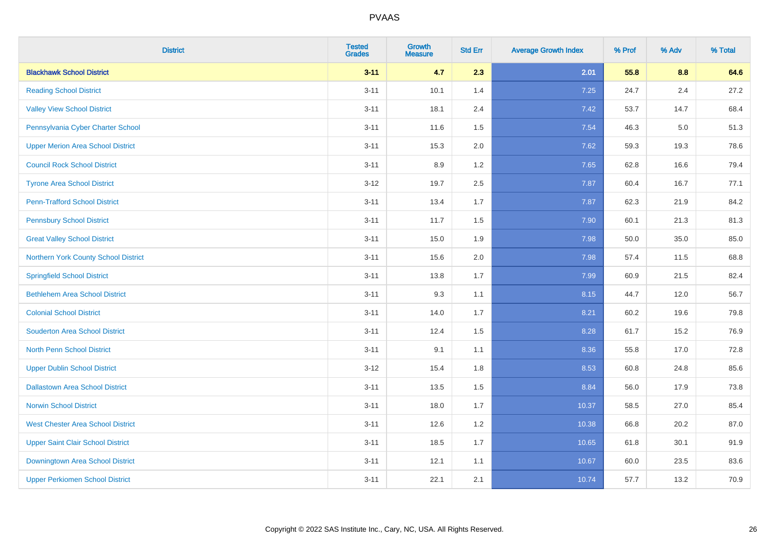| <b>District</b>                          | <b>Tested</b><br><b>Grades</b> | Growth<br><b>Measure</b> | <b>Std Err</b> | <b>Average Growth Index</b> | % Prof | % Adv   | % Total |
|------------------------------------------|--------------------------------|--------------------------|----------------|-----------------------------|--------|---------|---------|
| <b>Blackhawk School District</b>         | $3 - 11$                       | 4.7                      | 2.3            | 2.01                        | 55.8   | 8.8     | 64.6    |
| <b>Reading School District</b>           | $3 - 11$                       | 10.1                     | 1.4            | 7.25                        | 24.7   | 2.4     | 27.2    |
| <b>Valley View School District</b>       | $3 - 11$                       | 18.1                     | 2.4            | 7.42                        | 53.7   | 14.7    | 68.4    |
| Pennsylvania Cyber Charter School        | $3 - 11$                       | 11.6                     | 1.5            | 7.54                        | 46.3   | $5.0\,$ | 51.3    |
| <b>Upper Merion Area School District</b> | $3 - 11$                       | 15.3                     | 2.0            | 7.62                        | 59.3   | 19.3    | 78.6    |
| <b>Council Rock School District</b>      | $3 - 11$                       | 8.9                      | 1.2            | 7.65                        | 62.8   | 16.6    | 79.4    |
| <b>Tyrone Area School District</b>       | $3 - 12$                       | 19.7                     | 2.5            | 7.87                        | 60.4   | 16.7    | 77.1    |
| <b>Penn-Trafford School District</b>     | $3 - 11$                       | 13.4                     | 1.7            | 7.87                        | 62.3   | 21.9    | 84.2    |
| <b>Pennsbury School District</b>         | $3 - 11$                       | 11.7                     | 1.5            | 7.90                        | 60.1   | 21.3    | 81.3    |
| <b>Great Valley School District</b>      | $3 - 11$                       | 15.0                     | 1.9            | 7.98                        | 50.0   | 35.0    | 85.0    |
| Northern York County School District     | $3 - 11$                       | 15.6                     | 2.0            | 7.98                        | 57.4   | 11.5    | 68.8    |
| <b>Springfield School District</b>       | $3 - 11$                       | 13.8                     | 1.7            | 7.99                        | 60.9   | 21.5    | 82.4    |
| <b>Bethlehem Area School District</b>    | $3 - 11$                       | 9.3                      | 1.1            | 8.15                        | 44.7   | 12.0    | 56.7    |
| <b>Colonial School District</b>          | $3 - 11$                       | 14.0                     | 1.7            | 8.21                        | 60.2   | 19.6    | 79.8    |
| <b>Souderton Area School District</b>    | $3 - 11$                       | 12.4                     | 1.5            | 8.28                        | 61.7   | 15.2    | 76.9    |
| <b>North Penn School District</b>        | $3 - 11$                       | 9.1                      | 1.1            | 8.36                        | 55.8   | 17.0    | 72.8    |
| <b>Upper Dublin School District</b>      | $3 - 12$                       | 15.4                     | 1.8            | 8.53                        | 60.8   | 24.8    | 85.6    |
| <b>Dallastown Area School District</b>   | $3 - 11$                       | 13.5                     | 1.5            | 8.84                        | 56.0   | 17.9    | 73.8    |
| <b>Norwin School District</b>            | $3 - 11$                       | 18.0                     | 1.7            | 10.37                       | 58.5   | 27.0    | 85.4    |
| <b>West Chester Area School District</b> | $3 - 11$                       | 12.6                     | 1.2            | 10.38                       | 66.8   | 20.2    | 87.0    |
| <b>Upper Saint Clair School District</b> | $3 - 11$                       | 18.5                     | 1.7            | 10.65                       | 61.8   | 30.1    | 91.9    |
| Downingtown Area School District         | $3 - 11$                       | 12.1                     | 1.1            | 10.67                       | 60.0   | 23.5    | 83.6    |
| <b>Upper Perkiomen School District</b>   | $3 - 11$                       | 22.1                     | 2.1            | 10.74                       | 57.7   | 13.2    | 70.9    |